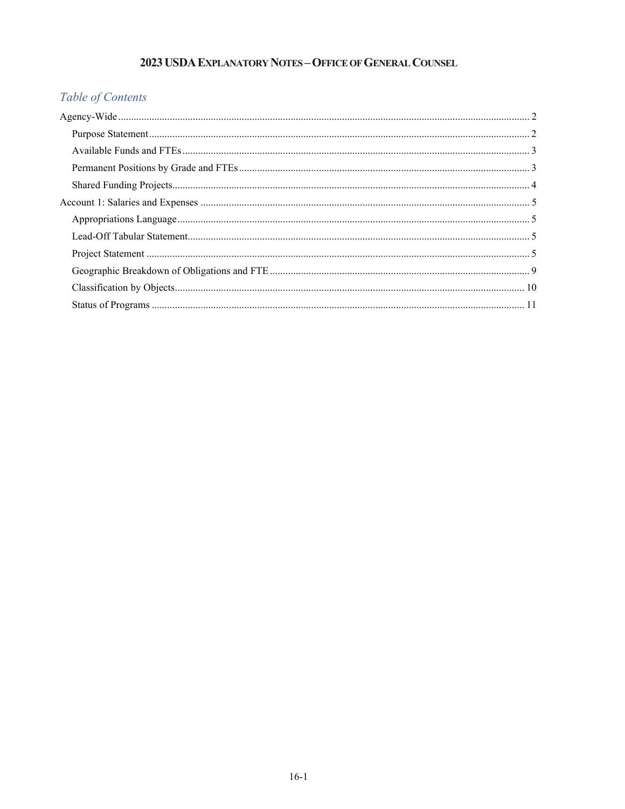# 2023 USDA EXPLANATORY NOTES - OFFICE OF GENERAL COUNSEL

# Table of Contents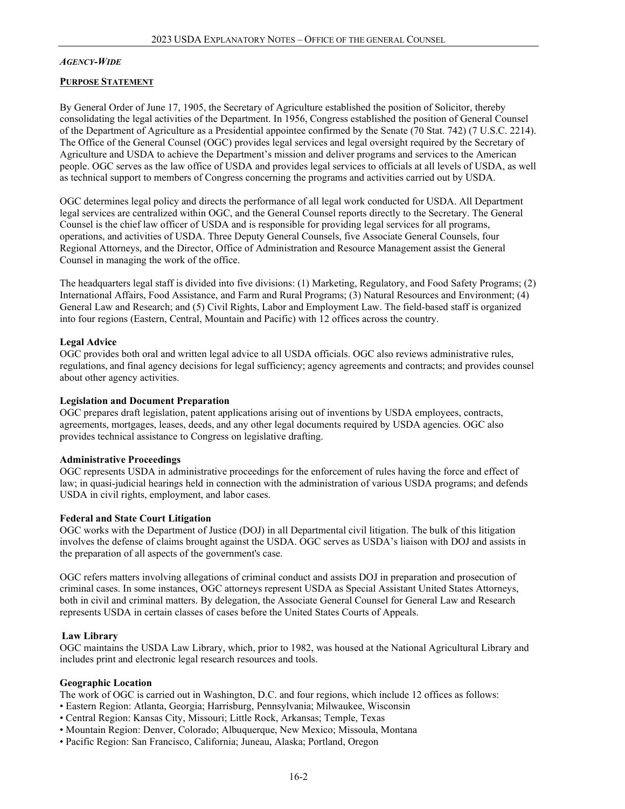#### <span id="page-1-0"></span>*AGENCY IDE -W*

#### <span id="page-1-1"></span>**PURPOSE STATEMENT**

 as technical support to members of Congress concerning the programs and activities carried out by USDA. By General Order of June 17, 1905, the Secretary of Agriculture established the position of Solicitor, thereby consolidating the legal activities of the Department. In 1956, Congress established the position of General Counsel of the Department of Agriculture as a Presidential appointee confirmed by the Senate (70 Stat. 742) (7 U.S.C. 2214). The Office of the General Counsel (OGC) provides legal services and legal oversight required by the Secretary of Agriculture and USDA to achieve the Department's mission and deliver programs and services to the American people. OGC serves as the law office of USDA and provides legal services to officials at all levels of USDA, as well

OGC determines legal policy and directs the performance of all legal work conducted for USDA. All Department legal services are centralized within OGC, and the General Counsel reports directly to the Secretary. The General Counsel is the chief law officer of USDA and is responsible for providing legal services for all programs, operations, and activities of USDA. Three Deputy General Counsels, five Associate General Counsels, four Regional Attorneys, and the Director, Office of Administration and Resource Management assist the General Counsel in managing the work of the office.

 into four regions (Eastern, Central, Mountain and Pacific) with 12 offices across the country. The headquarters legal staff is divided into five divisions: (1) Marketing, Regulatory, and Food Safety Programs; (2) International Affairs, Food Assistance, and Farm and Rural Programs; (3) Natural Resources and Environment; (4) General Law and Research; and (5) Civil Rights, Labor and Employment Law. The field-based staff is organized

#### **Legal Advice**

 regulations, and final agency decisions for legal sufficiency; agency agreements and contracts; and provides counsel about other agency activities. OGC provides both oral and written legal advice to all USDA officials. OGC also reviews administrative rules,

#### **Legislation and Document Preparation**

 agreements, mortgages, leases, deeds, and any other legal documents required by USDA agencies. OGC also OGC prepares draft legislation, patent applications arising out of inventions by USDA employees, contracts, provides technical assistance to Congress on legislative drafting.

#### **Administrative Proceedings**

OGC represents USDA in administrative proceedings for the enforcement of rules having the force and effect of law; in quasi-judicial hearings held in connection with the administration of various USDA programs; and defends USDA in civil rights, employment, and labor cases. 

#### **Federal and State Court Litigation**

 the preparation of all aspects of the government's case. OGC works with the Department of Justice (DOJ) in all Departmental civil litigation. The bulk of this litigation involves the defense of claims brought against the USDA. OGC serves as USDA's liaison with DOJ and assists in

 represents USDA in certain classes of cases before the United States Courts of Appeals. OGC refers matters involving allegations of criminal conduct and assists DOJ in preparation and prosecution of criminal cases. In some instances, OGC attorneys represent USDA as Special Assistant United States Attorneys, both in civil and criminal matters. By delegation, the Associate General Counsel for General Law and Research

#### **Law Library**

OGC maintains the USDA Law Library, which, prior to 1982, was housed at the National Agricultural Library and includes print and electronic legal research resources and tools. 

## **Geographic Location**

The work of OGC is carried out in Washington, D.C. and four regions, which include 12 offices as follows:

- Eastern Region: Atlanta, Georgia; Harrisburg, Pennsylvania; Milwaukee, Wisconsin
- Central Region: Kansas City, Missouri; Little Rock, Arkansas; Temple, Texas
- Mountain Region: Denver, Colorado; Albuquerque, New Mexico; Missoula, Montana
- Pacific Region: San Francisco, California; Juneau, Alaska; Portland, Oregon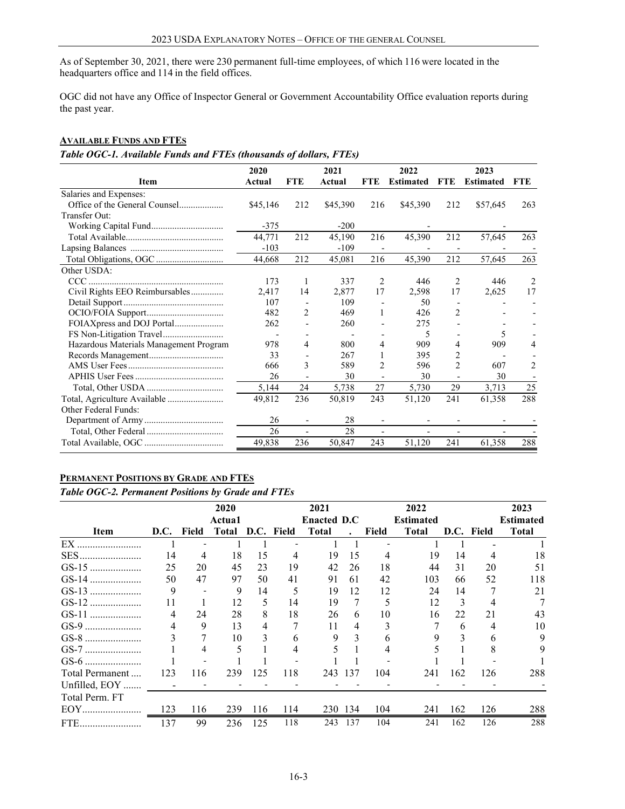As of September 30, 2021, there were 230 permanent full-time employees, of which 116 were located in the headquarters office and 114 in the field offices.

 the past year. OGC did not have any Office of Inspector General or Government Accountability Office evaluation reports during

# <span id="page-2-0"></span>**AVAILABLE FUNDS AND FTES**

*Table OGC-1. Available Funds and FTEs (thousands of dollars, FTEs)* 

|                                        | 2020     |                | 2021     |                          | 2022             |                | 2023             |                |
|----------------------------------------|----------|----------------|----------|--------------------------|------------------|----------------|------------------|----------------|
| Item                                   | Actual   | <b>FTE</b>     | Actual   | FTE                      | <b>Estimated</b> | <b>FTE</b>     | <b>Estimated</b> | <b>FTE</b>     |
| Salaries and Expenses:                 |          |                |          |                          |                  |                |                  |                |
|                                        | \$45,146 | 212            | \$45,390 | 216                      | \$45,390         | 212            | \$57,645         | 263            |
| Transfer Out:                          |          |                |          |                          |                  |                |                  |                |
| Working Capital Fund                   | $-375$   |                | $-200$   |                          |                  |                |                  |                |
|                                        | 44,771   | 212            | 45,190   | 216                      | 45,390           | 212            | 57,645           | 263            |
|                                        | $-103$   |                | $-109$   |                          |                  |                |                  |                |
|                                        | 44,668   | 212            | 45,081   | 216                      | 45,390           | 212            | 57,645           | 263            |
| Other USDA:                            |          |                |          |                          |                  |                |                  |                |
|                                        | 173      | 1              | 337      | 2                        | 446              | 2              | 446              | $\overline{2}$ |
| Civil Rights EEO Reimbursables         | 2,417    | 14             | 2,877    | 17                       | 2,598            | 17             | 2,625            | 17             |
|                                        | 107      |                | 109      |                          | 50               |                |                  |                |
|                                        | 482      | 2              | 469      | 1                        | 426              | 2              |                  |                |
| FOIAXpress and DOJ Portal              | 262      | $\overline{a}$ | 260      |                          | 275              |                |                  |                |
|                                        |          |                |          |                          | 5                |                | 5                |                |
| Hazardous Materials Management Program | 978      | 4              | 800      | 4                        | 909              | 4              | 909              |                |
|                                        | 33       |                | 267      |                          | 395              | 2              |                  |                |
|                                        | 666      | 3              | 589      | 2                        | 596              | $\overline{c}$ | 607              | 2              |
|                                        | 26       |                | 30       |                          | 30               |                | 30               |                |
|                                        | 5,144    | 24             | 5,738    | 27                       | 5,730            | 29             | 3,713            | 25             |
| Total, Agriculture Available           | 49,812   | 236            | 50,819   | 243                      | 51,120           | 241            | 61,358           | 288            |
| Other Federal Funds:                   |          |                |          |                          |                  |                |                  |                |
|                                        | 26       |                | 28       | $\overline{\phantom{a}}$ |                  |                |                  |                |
|                                        | 26       |                | 28       |                          |                  |                |                  |                |
|                                        | 49,838   | 236            | 50,847   | 243                      | 51,120           | 241            | 61,358           | 288            |

# <span id="page-2-1"></span>**PERMANENT POSITIONS BY GRADE AND FTES**

*Table OGC-2. Permanent Positions by Grade and FTEs* 

|                 |      |       | 2020          |     |            | 2021               |              |       | 2022             |     |            | 2023             |
|-----------------|------|-------|---------------|-----|------------|--------------------|--------------|-------|------------------|-----|------------|------------------|
|                 |      |       | <b>Actual</b> |     |            | <b>Enacted D.C</b> |              |       | <b>Estimated</b> |     |            | <b>Estimated</b> |
| Item            | D.C. | Field | <b>Total</b>  |     | D.C. Field | <b>Total</b>       | $\mathbf{r}$ | Field | <b>Total</b>     |     | D.C. Field | <b>Total</b>     |
| $EX$ .          |      |       |               |     |            |                    |              |       |                  |     |            |                  |
| SES.            | 14   | 4     | 18            | 15  | 4          | 19                 | 15           | 4     | 19               | 14  | 4          | 18               |
|                 | 25   | 20    | 45            | 23  | 19         | 42                 | 26           | 18    | 44               | 31  | 20         | 51               |
|                 | 50   | 47    | 97            | 50  | 41         | 91                 | 61           | 42    | 103              | 66  | 52         | 118              |
|                 | 9    |       | 9             | 14  | 5          | 19                 | 12           | 12    | 24               | 14  |            | 21               |
|                 | 11   |       | 12            | 5   | 14         | 19                 |              |       | 12               | 3   | 4          |                  |
|                 | 4    | 24    | 28            | 8   | 18         | 26                 | 6            | 10    | 16               | 22  | 21         | 43               |
|                 |      | 9     | 13            | 4   |            | 11                 | 4            |       |                  | 6   | 4          | 10               |
|                 |      |       | 10            | 3   | h.         | 9                  | 3            | n     |                  |     | 6          | 9                |
|                 |      |       |               |     |            |                    |              |       |                  |     | 8          | 9                |
|                 |      |       |               |     |            |                    |              |       |                  |     |            |                  |
| Total Permanent | 123  | 116   | 239           | 125 | 118        | 243                | 137          | 104   | 241              | 162 | 126        | 288              |
| Unfilled, EOY   |      |       |               |     |            |                    |              |       |                  |     |            |                  |
| Total Perm. FT  |      |       |               |     |            |                    |              |       |                  |     |            |                  |
| EOY.            | 123  | 116   | 239           | 116 | 114        |                    | 230 134      | 104   | 241              | 162 | 126        | 288              |
| FTE.            | 137  | 99    | 236           | 125 | 118        | 243                | 137          | 104   | 241              | 162 | 126        | 288              |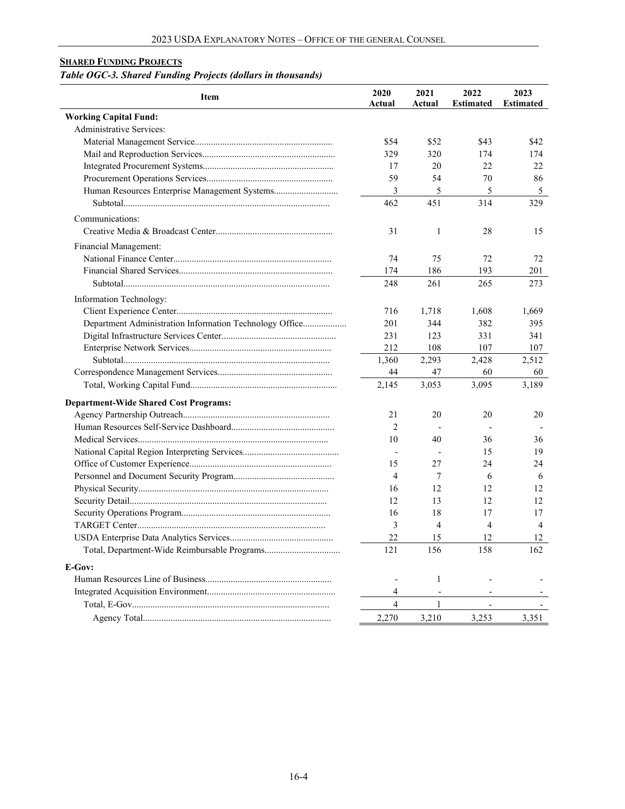# <span id="page-3-0"></span>**SHARED FUNDING PROJECTS**

# *Table OGC-3. Shared Funding Projects (dollars in thousands)*

| <b>Item</b>                                             | 2020<br>Actual | 2021<br>Actual           | 2022<br><b>Estimated</b> | 2023<br><b>Estimated</b> |
|---------------------------------------------------------|----------------|--------------------------|--------------------------|--------------------------|
| <b>Working Capital Fund:</b>                            |                |                          |                          |                          |
| Administrative Services:                                |                |                          |                          |                          |
|                                                         | \$54           | \$52                     | \$43                     | \$42                     |
|                                                         | 329            | 320                      | 174                      | 174                      |
|                                                         | 17             | 20                       | 22                       | 22                       |
|                                                         | 59             | 54                       | 70                       | 86                       |
|                                                         | 3              | 5                        | 5                        | 5                        |
|                                                         | 462            | 451                      | 314                      | 329                      |
| Communications:                                         |                |                          |                          |                          |
|                                                         | 31             | 1                        | 28                       | 15                       |
|                                                         |                |                          |                          |                          |
| Financial Management:                                   |                |                          |                          |                          |
|                                                         | 74             | 75                       | 72                       | 72                       |
|                                                         | 174            | 186                      | 193                      | 201                      |
|                                                         | 248            | 261                      | 265                      | 273                      |
| Information Technology:                                 |                |                          |                          |                          |
|                                                         | 716            | 1,718                    | 1,608                    | 1,669                    |
| Department Administration Information Technology Office | 201            | 344                      | 382                      | 395                      |
|                                                         | 231            | 123                      | 331                      | 341                      |
|                                                         | 212            | 108                      | 107                      | 107                      |
|                                                         | 1,360          | 2,293                    | 2,428                    | 2,512                    |
|                                                         | 44             | 47                       | 60                       | 60                       |
|                                                         | 2,145          | 3,053                    | 3,095                    | 3,189                    |
| <b>Department-Wide Shared Cost Programs:</b>            |                |                          |                          |                          |
|                                                         | 21             | 20                       | 20                       | 20                       |
|                                                         | $\overline{2}$ |                          |                          |                          |
|                                                         | 10             | 40                       | 36                       | 36                       |
|                                                         | $\overline{a}$ |                          | 15                       | 19                       |
|                                                         | 15             | 27                       | 24                       | 24                       |
|                                                         | 4              | 7                        | 6                        | 6                        |
|                                                         | 16             | 12                       | 12                       | 12                       |
|                                                         | 12             | 13                       | 12                       | 12                       |
|                                                         | 16             | 18                       | 17                       | 17                       |
|                                                         | 3              | 4                        | $\overline{4}$           | $\overline{4}$           |
|                                                         | 22             | 15                       | 12                       | 12                       |
|                                                         | 121            | 156                      | 158                      | 162                      |
|                                                         |                |                          |                          |                          |
| E-Gov:                                                  |                |                          |                          |                          |
|                                                         |                | 1                        |                          |                          |
|                                                         | 4              | $\overline{\phantom{a}}$ |                          |                          |
|                                                         | $\overline{4}$ | 1                        |                          |                          |
|                                                         | 2,270          | 3,210                    | 3,253                    | 3,351                    |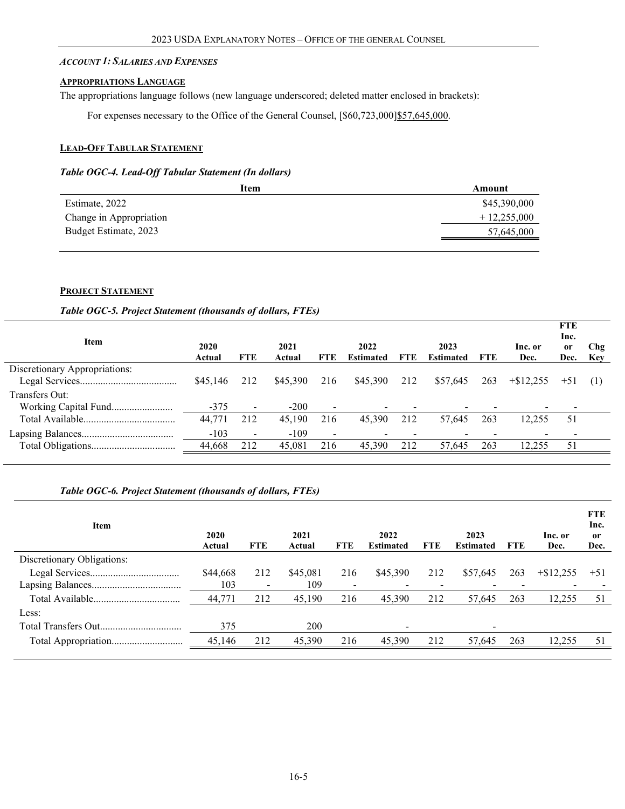#### <span id="page-4-0"></span>*ACCOUNT 1: SALARIES AND EXPENSES*

#### <span id="page-4-1"></span>**APPROPRIATIONS LANGUAGE**

The appropriations language follows (new language underscored; deleted matter enclosed in brackets):

For expenses necessary to the Office of the General Counsel, [\$60,723,000] \$57,645,000.

# <span id="page-4-2"></span>**LEAD-OFF TABULAR STATEMENT**

#### *Table OGC-4. Lead-Off Tabular Statement (In dollars)*

| Item                    | Amount        |
|-------------------------|---------------|
| Estimate, 2022          | \$45,390,000  |
| Change in Appropriation | $+12,255,000$ |
| Budget Estimate, 2023   | 57,645,000    |
|                         |               |

#### <span id="page-4-3"></span>**PROJECT STATEMENT**

#### *Table OGC-5. Project Statement (thousands of dollars, FTEs)*

| Item                          | 2020<br>Actual | <b>FTE</b>               | 2021<br>Actual | <b>FTE</b>               | 2022<br><b>Estimated</b> | <b>FTE</b> | 2023<br><b>Estimated</b> | FTE | Inc. or<br>Dec. | <b>FTE</b><br>Inc.<br><sub>or</sub><br>Dec. | Chg<br><b>Key</b> |
|-------------------------------|----------------|--------------------------|----------------|--------------------------|--------------------------|------------|--------------------------|-----|-----------------|---------------------------------------------|-------------------|
| Discretionary Appropriations: |                |                          |                |                          |                          |            |                          |     |                 |                                             |                   |
|                               | \$45,146       | 212                      | \$45,390       | 216                      | \$45,390                 | 212        | \$57,645                 | 263 | $+\$12.255$     | $+51$                                       |                   |
| Transfers Out:                |                |                          |                |                          |                          |            |                          |     |                 |                                             |                   |
|                               | $-375$         |                          | $-200$         | $\sim$                   |                          |            |                          |     |                 |                                             |                   |
|                               | 44,771         | 212                      | 45,190         | 216                      | 45,390                   | 212        | 57,645                   | 263 | 12.255          | 51                                          |                   |
|                               | $-103$         | $\overline{\phantom{0}}$ | $-109$         | $\overline{\phantom{a}}$ |                          |            |                          |     |                 |                                             |                   |
|                               | 44,668         | 212                      | 45,081         | 216                      | 45,390                   | 212        | 57,645                   | 263 | 12,255          | 51                                          |                   |
|                               |                |                          |                |                          |                          |            |                          |     |                 |                                             |                   |

## *Table OGC-6. Project Statement (thousands of dollars, FTEs)*

| Item                       | 2020<br>Actual | <b>FTE</b>               | 2021<br>Actual | <b>FTE</b>               | 2022<br><b>Estimated</b> | <b>FTE</b> | 2023<br><b>Estimated</b> | <b>FTE</b> | Inc. or<br>Dec. | <b>FTE</b><br>Inc.<br>0r<br>Dec. |
|----------------------------|----------------|--------------------------|----------------|--------------------------|--------------------------|------------|--------------------------|------------|-----------------|----------------------------------|
| Discretionary Obligations: |                |                          |                |                          |                          |            |                          |            |                 |                                  |
|                            | \$44,668       | 212                      | \$45,081       | 216                      | \$45,390                 | 212        | \$57,645                 | 263        | $+$ \$12,255    | $+51$                            |
|                            | 103            | $\overline{\phantom{0}}$ | 109            | $\overline{\phantom{a}}$ |                          |            |                          |            |                 |                                  |
|                            | 44,771         | 212                      | 45,190         | 216                      | 45,390                   | 212        | 57,645                   | 263        | 12,255          | 51                               |
| Less:                      |                |                          |                |                          |                          |            |                          |            |                 |                                  |
|                            | 375            |                          | 200            |                          | $\overline{\phantom{a}}$ |            | $\overline{\phantom{0}}$ |            |                 |                                  |
| Total Appropriation        | 45,146         | 212                      | 45,390         | 216                      | 45,390                   | 212        | 57,645                   | 263        | 12,255          | 51                               |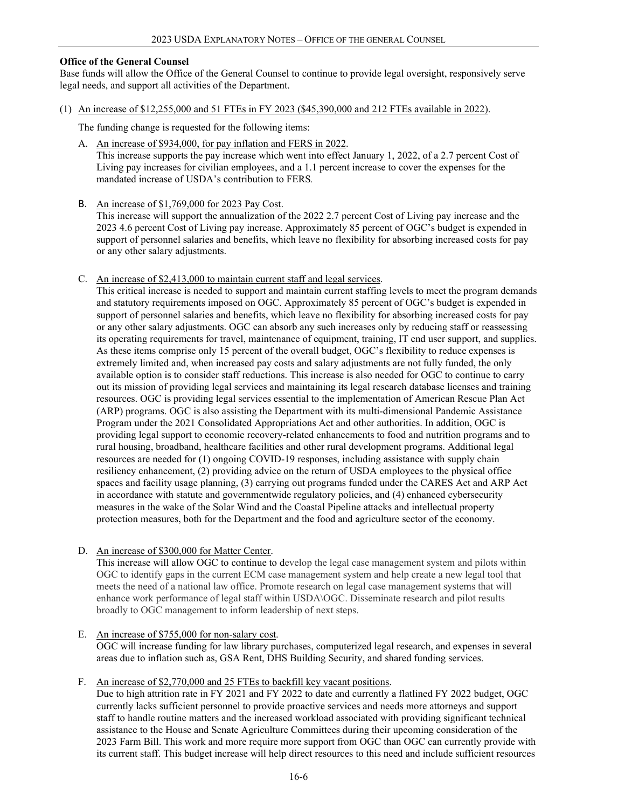## **Office of the General Counsel**

Base funds will allow the Office of the General Counsel to continue to provide legal oversight, responsively serve legal needs, and support all activities of the Department.

(1) An increase of \$12,255,000 and 51 FTEs in FY 2023 (\$45,390,000 and 212 FTEs available in 2022).

The funding change is requested for the following items:

- A. An increase of \$934,000, for pay inflation and FERS in 2022. This increase supports the pay increase which went into effect January 1, 2022, of a 2.7 percent Cost of Living pay increases for civilian employees, and a 1.1 percent increase to cover the expenses for the mandated increase of USDA's contribution to FERS*.*
- B. An increase of \$1,769,000 for 2023 Pay Cost.

This increase will support the annualization of the 2022 2.7 percent Cost of Living pay increase and the 2023 4.6 percent Cost of Living pay increase. Approximately 85 percent of OGC's budget is expended in support of personnel salaries and benefits, which leave no flexibility for absorbing increased costs for pay or any other salary adjustments.

#### C. An increase of \$2,413,000 to maintain current staff and legal services.

This critical increase is needed to support and maintain current staffing levels to meet the program demands and statutory requirements imposed on OGC. Approximately 85 percent of OGC's budget is expended in support of personnel salaries and benefits, which leave no flexibility for absorbing increased costs for pay or any other salary adjustments. OGC can absorb any such increases only by reducing staff or reassessing its operating requirements for travel, maintenance of equipment, training, IT end user support, and supplies. As these items comprise only 15 percent of the overall budget, OGC's flexibility to reduce expenses is extremely limited and, when increased pay costs and salary adjustments are not fully funded, the only available option is to consider staff reductions. This increase is also needed for OGC to continue to carry out its mission of providing legal services and maintaining its legal research database licenses and training resources. OGC is providing legal services essential to the implementation of American Rescue Plan Act (ARP) programs. OGC is also assisting the Department with its multi-dimensional Pandemic Assistance Program under the 2021 Consolidated Appropriations Act and other authorities. In addition, OGC is providing legal support to economic recovery-related enhancements to food and nutrition programs and to rural housing, broadband, healthcare facilities and other rural development programs. Additional legal resources are needed for (1) ongoing COVID-19 responses, including assistance with supply chain resiliency enhancement, (2) providing advice on the return of USDA employees to the physical office spaces and facility usage planning, (3) carrying out programs funded under the CARES Act and ARP Act in accordance with statute and governmentwide regulatory policies, and (4) enhanced cybersecurity measures in the wake of the Solar Wind and the Coastal Pipeline attacks and intellectual property protection measures, both for the Department and the food and agriculture sector of the economy.

D. An increase of \$300,000 for Matter Center.

This increase will allow OGC to continue to develop the legal case management system and pilots within OGC to identify gaps in the current ECM case management system and help create a new legal tool that meets the need of a national law office. Promote research on legal case management systems that will enhance work performance of legal staff within USDA\OGC. Disseminate research and pilot results broadly to OGC management to inform leadership of next steps.

- E. An increase of \$755,000 for non-salary cost. OGC will increase funding for law library purchases, computerized legal research, and expenses in several areas due to inflation such as, GSA Rent, DHS Building Security, and shared funding services.
- F. An increase of \$2,770,000 and 25 FTEs to backfill key vacant positions.

Due to high attrition rate in FY 2021 and FY 2022 to date and currently a flatlined FY 2022 budget, OGC currently lacks sufficient personnel to provide proactive services and needs more attorneys and support staff to handle routine matters and the increased workload associated with providing significant technical assistance to the House and Senate Agriculture Committees during their upcoming consideration of the 2023 Farm Bill. This work and more require more support from OGC than OGC can currently provide with its current staff. This budget increase will help direct resources to this need and include sufficient resources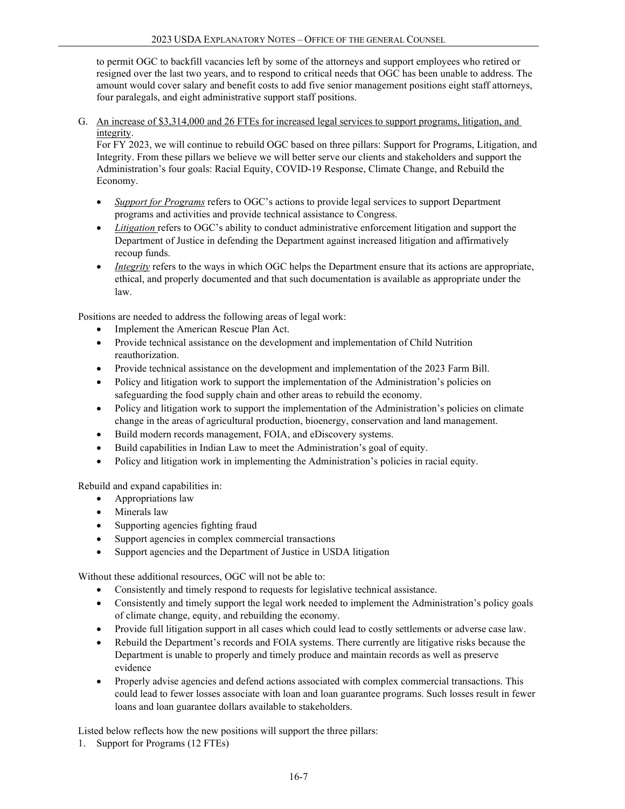to permit OGC to backfill vacancies left by some of the attorneys and support employees who retired or resigned over the last two years, and to respond to critical needs that OGC has been unable to address. The amount would cover salary and benefit costs to add five senior management positions eight staff attorneys, four paralegals, and eight administrative support staff positions.

G. An increase of \$3,314,000 and 26 FTEs for increased legal services to support programs, litigation, and integrity.

For FY 2023, we will continue to rebuild OGC based on three pillars: Support for Programs, Litigation, and Integrity. From these pillars we believe we will better serve our clients and stakeholders and support the Administration's four goals: Racial Equity, COVID-19 Response, Climate Change, and Rebuild the Economy.

- *Support for Programs* refers to OGC's actions to provide legal services to support Department programs and activities and provide technical assistance to Congress.
- *Litigation* refers to OGC's ability to conduct administrative enforcement litigation and support the Department of Justice in defending the Department against increased litigation and affirmatively recoup funds.
- *Integrity* refers to the ways in which OGC helps the Department ensure that its actions are appropriate, ethical, and properly documented and that such documentation is available as appropriate under the law.

Positions are needed to address the following areas of legal work:

- Implement the American Rescue Plan Act.
- Provide technical assistance on the development and implementation of Child Nutrition reauthorization.
- Provide technical assistance on the development and implementation of the 2023 Farm Bill.
- Policy and litigation work to support the implementation of the Administration's policies on safeguarding the food supply chain and other areas to rebuild the economy.
- Policy and litigation work to support the implementation of the Administration's policies on climate change in the areas of agricultural production, bioenergy, conservation and land management.
- Build modern records management, FOIA, and eDiscovery systems.
- Build capabilities in Indian Law to meet the Administration's goal of equity.
- Policy and litigation work in implementing the Administration's policies in racial equity.

Rebuild and expand capabilities in:

- Appropriations law
- Minerals law
- Supporting agencies fighting fraud
- Support agencies in complex commercial transactions
- Support agencies and the Department of Justice in USDA litigation

Without these additional resources, OGC will not be able to:

- Consistently and timely respond to requests for legislative technical assistance.
- Consistently and timely support the legal work needed to implement the Administration's policy goals of climate change, equity, and rebuilding the economy.
- Provide full litigation support in all cases which could lead to costly settlements or adverse case law.
- Rebuild the Department's records and FOIA systems. There currently are litigative risks because the Department is unable to properly and timely produce and maintain records as well as preserve evidence
- Properly advise agencies and defend actions associated with complex commercial transactions. This could lead to fewer losses associate with loan and loan guarantee programs. Such losses result in fewer loans and loan guarantee dollars available to stakeholders.

Listed below reflects how the new positions will support the three pillars:

1. Support for Programs (12 FTEs)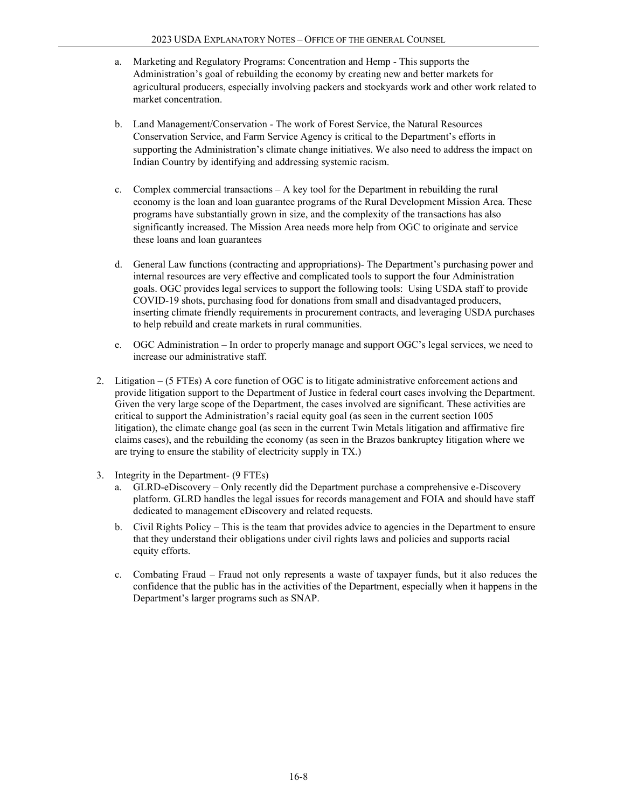- a. Marketing and Regulatory Programs: Concentration and Hemp This supports the Administration's goal of rebuilding the economy by creating new and better markets for agricultural producers, especially involving packers and stockyards work and other work related to market concentration.
- b. Land Management/Conservation The work of Forest Service, the Natural Resources Conservation Service, and Farm Service Agency is critical to the Department's efforts in supporting the Administration's climate change initiatives. We also need to address the impact on Indian Country by identifying and addressing systemic racism.
- c. Complex commercial transactions A key tool for the Department in rebuilding the rural economy is the loan and loan guarantee programs of the Rural Development Mission Area. These programs have substantially grown in size, and the complexity of the transactions has also significantly increased. The Mission Area needs more help from OGC to originate and service these loans and loan guarantees
- d. General Law functions (contracting and appropriations)- The Department's purchasing power and internal resources are very effective and complicated tools to support the four Administration goals. OGC provides legal services to support the following tools: Using USDA staff to provide COVID-19 shots, purchasing food for donations from small and disadvantaged producers, inserting climate friendly requirements in procurement contracts, and leveraging USDA purchases to help rebuild and create markets in rural communities.
- e. OGC Administration In order to properly manage and support OGC's legal services, we need to increase our administrative staff.
- 2. Litigation (5 FTEs) A core function of OGC is to litigate administrative enforcement actions and provide litigation support to the Department of Justice in federal court cases involving the Department. Given the very large scope of the Department, the cases involved are significant. These activities are critical to support the Administration's racial equity goal (as seen in the current section 1005 litigation), the climate change goal (as seen in the current Twin Metals litigation and affirmative fire claims cases), and the rebuilding the economy (as seen in the Brazos bankruptcy litigation where we are trying to ensure the stability of electricity supply in TX.)
- 3. Integrity in the Department- (9 FTEs)
	- a. GLRD-eDiscovery Only recently did the Department purchase a comprehensive e-Discovery platform. GLRD handles the legal issues for records management and FOIA and should have staff dedicated to management eDiscovery and related requests.
	- b. Civil Rights Policy This is the team that provides advice to agencies in the Department to ensure that they understand their obligations under civil rights laws and policies and supports racial equity efforts.
	- c. Combating Fraud Fraud not only represents a waste of taxpayer funds, but it also reduces the confidence that the public has in the activities of the Department, especially when it happens in the Department's larger programs such as SNAP.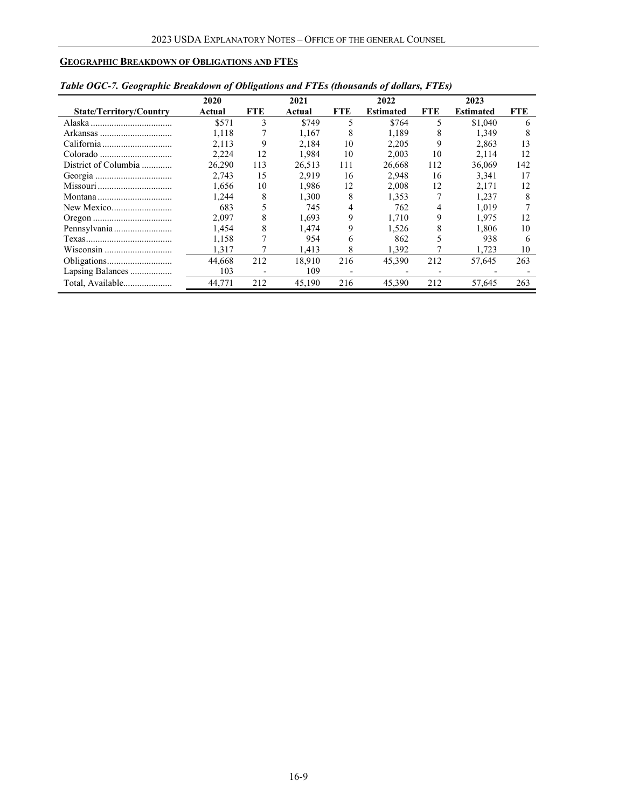# <span id="page-8-0"></span>**GEOGRAPHIC BREAKDOWN OF OBLIGATIONS AND FTES**

|                                | 2020   |      | 2021   |            | 2022             |            | 2023             |     |
|--------------------------------|--------|------|--------|------------|------------------|------------|------------------|-----|
| <b>State/Territory/Country</b> | Actual | FTE. | Actual | <b>FTE</b> | <b>Estimated</b> | <b>FTE</b> | <b>Estimated</b> | FTE |
|                                | \$571  | 3    | \$749  | 5          | \$764            | 5          | \$1,040          | 6   |
|                                | 1.118  |      | 1.167  | 8          | 1.189            | 8          | 1.349            |     |
|                                | 2.113  | 9    | 2.184  | 10         | 2.205            | 9          | 2.863            | 13  |
|                                | 2,224  | 12   | 1.984  | 10         | 2.003            | 10         | 2,114            | 12  |
| District of Columbia           | 26.290 | 113  | 26.513 | 111        | 26,668           | 112        | 36,069           | 142 |
|                                | 2.743  | 15   | 2.919  | 16         | 2.948            | 16         | 3.341            | 17  |
|                                | 1,656  | 10   | 1.986  | 12         | 2.008            | 12         | 2.171            | 12  |
|                                | 1.244  | 8    | 1.300  | 8          | 1.353            |            | 1.237            | 8   |
|                                | 683    |      | 745    |            | 762              | 4          | 1.019            |     |
|                                | 2.097  | 8    | 1.693  | 9          | 1.710            | 9          | 1.975            | 12  |
|                                | 1.454  | 8    | 1.474  | 9          | 1.526            | 8          | 1.806            | 10  |
|                                | 1.158  | 7    | 954    | 6          | 862              |            | 938              | 6   |
|                                | 1.317  |      | 1.413  | 8          | 1,392            |            | 1.723            | 10  |
|                                | 44,668 | 212  | 18,910 | 216        | 45,390           | 212        | 57,645           | 263 |
| Lapsing Balances               | 103    |      | 109    |            |                  |            |                  |     |
| Total, Available               | 44,771 | 212  | 45,190 | 216        | 45,390           | 212        | 57,645           | 263 |

| Table OGC-7. Geographic Breakdown of Obligations and FTEs (thousands of dollars, FTEs) |  |  |  |  |
|----------------------------------------------------------------------------------------|--|--|--|--|
|                                                                                        |  |  |  |  |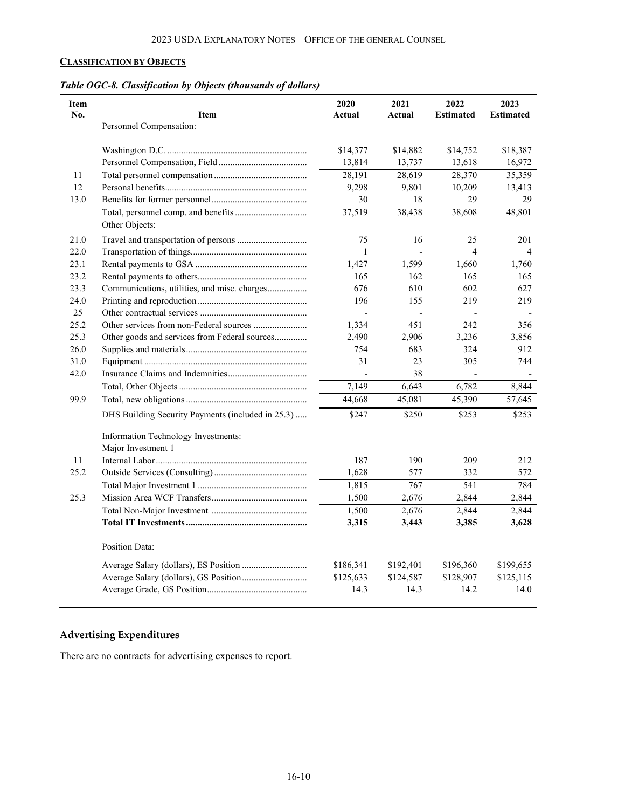# <span id="page-9-0"></span>**CLASSIFICATION BY OBJECTS**

| Table OGC-8. Classification by Objects (thousands of dollars) |  |  |
|---------------------------------------------------------------|--|--|
|                                                               |  |  |

| <b>Item</b><br>No. | <b>Item</b>                                               | 2020<br>Actual | 2021<br>Actual | 2022<br><b>Estimated</b> | 2023<br><b>Estimated</b> |
|--------------------|-----------------------------------------------------------|----------------|----------------|--------------------------|--------------------------|
|                    | Personnel Compensation:                                   |                |                |                          |                          |
|                    |                                                           | \$14,377       | \$14,882       | \$14,752                 | \$18,387                 |
|                    |                                                           | 13,814         | 13,737         | 13,618                   | 16,972                   |
| 11                 |                                                           | 28,191         | 28,619         | 28,370                   | 35,359                   |
| 12                 |                                                           | 9,298          | 9,801          | 10,209                   | 13,413                   |
| 13.0               |                                                           | 30             | 18             | 29                       | 29                       |
|                    | Other Objects:                                            | 37,519         | 38,438         | 38,608                   | 48,801                   |
| 21.0               |                                                           | 75             | 16             | 25                       | 201                      |
| 22.0               |                                                           | $\mathbf{1}$   |                | $\overline{\mathbf{4}}$  | 4                        |
| 23.1               |                                                           | 1,427          | 1,599          | 1,660                    | 1,760                    |
| 23.2               |                                                           | 165            | 162            | 165                      | 165                      |
| 23.3               | Communications, utilities, and misc. charges              | 676            | 610            | 602                      | 627                      |
| 24.0               |                                                           | 196            | 155            | 219                      | 219                      |
| 25                 |                                                           |                |                |                          |                          |
| 25.2               | Other services from non-Federal sources                   | 1,334          | 451            | 242                      | 356                      |
| 25.3               | Other goods and services from Federal sources             | 2,490          | 2,906          | 3,236                    | 3,856                    |
| 26.0               |                                                           | 754            | 683            | 324                      | 912                      |
| 31.0               |                                                           | 31             | 23             | 305                      | 744                      |
| 42.0               |                                                           |                | 38             |                          |                          |
|                    |                                                           | 7,149          | 6,643          | 6,782                    | 8,844                    |
| 99.9               |                                                           | 44,668         | 45,081         | 45,390                   | 57,645                   |
|                    | DHS Building Security Payments (included in 25.3)         | \$247          | \$250          | \$253                    | \$253                    |
|                    | Information Technology Investments:<br>Major Investment 1 |                |                |                          |                          |
| 11                 |                                                           | 187            | 190            | 209                      | 212                      |
| 25.2               |                                                           | 1,628          | 577            | 332                      | 572                      |
|                    |                                                           | 1,815          | 767            | 541                      | 784                      |
| 25.3               |                                                           | 1,500          | 2,676          | 2,844                    | 2,844                    |
|                    |                                                           | 1,500          | 2,676          | 2,844                    | 2,844                    |
|                    |                                                           | 3,315          | 3,443          | 3,385                    | 3,628                    |
|                    | Position Data:                                            |                |                |                          |                          |
|                    |                                                           | \$186,341      | \$192,401      | \$196,360                | \$199,655                |
|                    |                                                           | \$125,633      | \$124,587      | \$128,907                | \$125,115                |
|                    |                                                           | 14.3           | 14.3           | 14.2                     | 14.0                     |

# **Advertising Expenditures**

There are no contracts for advertising expenses to report.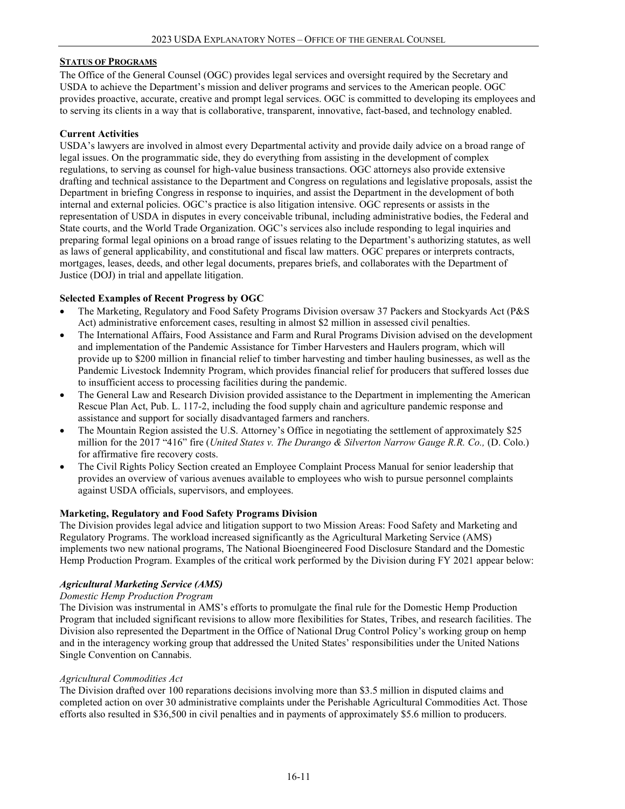## **STATUS OF PROGRAMS**

The Office of the General Counsel (OGC) provides legal services and oversight required by the Secretary and USDA to achieve the Department's mission and deliver programs and services to the American people. OGC provides proactive, accurate, creative and prompt legal services. OGC is committed to developing its employees and to serving its clients in a way that is collaborative, transparent, innovative, fact-based, and technology enabled.

#### **Current Activities**

USDA's lawyers are involved in almost every Departmental activity and provide daily advice on a broad range of legal issues. On the programmatic side, they do everything from assisting in the development of complex regulations, to serving as counsel for high-value business transactions. OGC attorneys also provide extensive drafting and technical assistance to the Department and Congress on regulations and legislative proposals, assist the Department in briefing Congress in response to inquiries, and assist the Department in the development of both internal and external policies. OGC's practice is also litigation intensive. OGC represents or assists in the representation of USDA in disputes in every conceivable tribunal, including administrative bodies, the Federal and State courts, and the World Trade Organization. OGC's services also include responding to legal inquiries and preparing formal legal opinions on a broad range of issues relating to the Department's authorizing statutes, as well as laws of general applicability, and constitutional and fiscal law matters. OGC prepares or interprets contracts, mortgages, leases, deeds, and other legal documents, prepares briefs, and collaborates with the Department of Justice (DOJ) in trial and appellate litigation.

#### **Selected Examples of Recent Progress by OGC**

- The Marketing, Regulatory and Food Safety Programs Division oversaw 37 Packers and Stockyards Act (P&S Act) administrative enforcement cases, resulting in almost \$2 million in assessed civil penalties.
- The International Affairs, Food Assistance and Farm and Rural Programs Division advised on the development and implementation of the Pandemic Assistance for Timber Harvesters and Haulers program, which will provide up to \$200 million in financial relief to timber harvesting and timber hauling businesses, as well as the Pandemic Livestock Indemnity Program, which provides financial relief for producers that suffered losses due to insufficient access to processing facilities during the pandemic.
- The General Law and Research Division provided assistance to the Department in implementing the American Rescue Plan Act, Pub. L. 117-2, including the food supply chain and agriculture pandemic response and assistance and support for socially disadvantaged farmers and ranchers.
- The Mountain Region assisted the U.S. Attorney's Office in negotiating the settlement of approximately \$25 million for the 2017 "416" fire (*United States v. The Durango & Silverton Narrow Gauge R.R. Co., (D. Colo.)* for affirmative fire recovery costs.
- The Civil Rights Policy Section created an Employee Complaint Process Manual for senior leadership that provides an overview of various avenues available to employees who wish to pursue personnel complaints against USDA officials, supervisors, and employees.

## **Marketing, Regulatory and Food Safety Programs Division**

The Division provides legal advice and litigation support to two Mission Areas: Food Safety and Marketing and Regulatory Programs. The workload increased significantly as the Agricultural Marketing Service (AMS) implements two new national programs, The National Bioengineered Food Disclosure Standard and the Domestic Hemp Production Program. Examples of the critical work performed by the Division during FY 2021 appear below:

## *Agricultural Marketing Service (AMS)*

#### *Domestic Hemp Production Program*

The Division was instrumental in AMS's efforts to promulgate the final rule for the Domestic Hemp Production Program that included significant revisions to allow more flexibilities for States, Tribes, and research facilities. The Division also represented the Department in the Office of National Drug Control Policy's working group on hemp and in the interagency working group that addressed the United States' responsibilities under the United Nations Single Convention on Cannabis.

#### *Agricultural Commodities Act*

The Division drafted over 100 reparations decisions involving more than \$3.5 million in disputed claims and completed action on over 30 administrative complaints under the Perishable Agricultural Commodities Act. Those efforts also resulted in \$36,500 in civil penalties and in payments of approximately \$5.6 million to producers.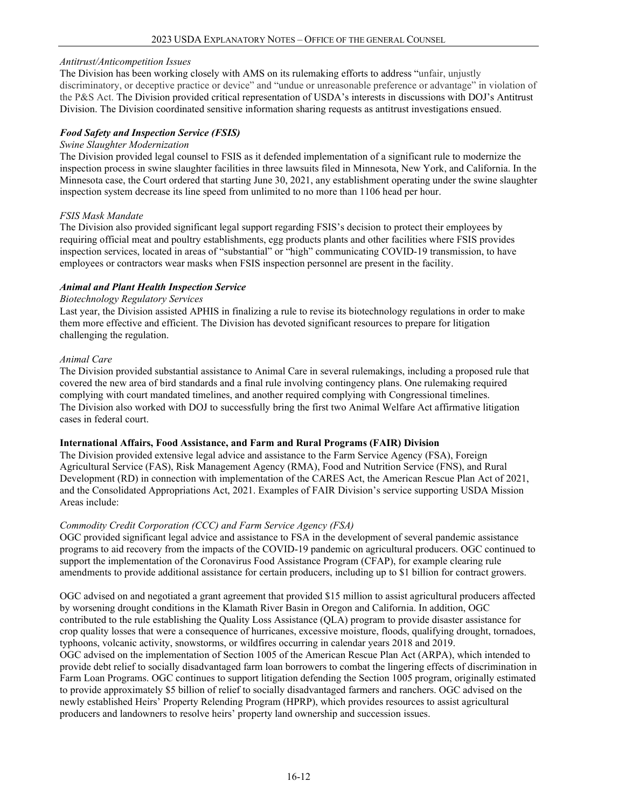## *Antitrust/Anticompetition Issues*

The Division has been working closely with AMS on its rulemaking efforts to address "unfair, unjustly discriminatory, or deceptive practice or device" and "undue or unreasonable preference or advantage" in violation of the P&S Act. The Division provided critical representation of USDA's interests in discussions with DOJ's Antitrust Division. The Division coordinated sensitive information sharing requests as antitrust investigations ensued.

## *Food Safety and Inspection Service (FSIS)*

#### *Swine Slaughter Modernization*

The Division provided legal counsel to FSIS as it defended implementation of a significant rule to modernize the inspection process in swine slaughter facilities in three lawsuits filed in Minnesota, New York, and California. In the Minnesota case, the Court ordered that starting June 30, 2021, any establishment operating under the swine slaughter inspection system decrease its line speed from unlimited to no more than 1106 head per hour.

# *FSIS Mask Mandate*

The Division also provided significant legal support regarding FSIS's decision to protect their employees by requiring official meat and poultry establishments, egg products plants and other facilities where FSIS provides inspection services, located in areas of "substantial" or "high" communicating COVID-19 transmission, to have employees or contractors wear masks when FSIS inspection personnel are present in the facility.

# *Animal and Plant Health Inspection Service*

# *Biotechnology Regulatory Services*

Last year, the Division assisted APHIS in finalizing a rule to revise its biotechnology regulations in order to make them more effective and efficient. The Division has devoted significant resources to prepare for litigation challenging the regulation.

## *Animal Care*

The Division provided substantial assistance to Animal Care in several rulemakings, including a proposed rule that covered the new area of bird standards and a final rule involving contingency plans. One rulemaking required complying with court mandated timelines, and another required complying with Congressional timelines. The Division also worked with DOJ to successfully bring the first two Animal Welfare Act affirmative litigation cases in federal court.

## **International Affairs, Food Assistance, and Farm and Rural Programs (FAIR) Division**

The Division provided extensive legal advice and assistance to the Farm Service Agency (FSA), Foreign Agricultural Service (FAS), Risk Management Agency (RMA), Food and Nutrition Service (FNS), and Rural Development (RD) in connection with implementation of the CARES Act, the American Rescue Plan Act of 2021, and the Consolidated Appropriations Act, 2021. Examples of FAIR Division's service supporting USDA Mission Areas include:

## *Commodity Credit Corporation (CCC) and Farm Service Agency (FSA)*

OGC provided significant legal advice and assistance to FSA in the development of several pandemic assistance programs to aid recovery from the impacts of the COVID-19 pandemic on agricultural producers. OGC continued to support the implementation of the Coronavirus Food Assistance Program (CFAP), for example clearing rule amendments to provide additional assistance for certain producers, including up to \$1 billion for contract growers.

OGC advised on and negotiated a grant agreement that provided \$15 million to assist agricultural producers affected by worsening drought conditions in the Klamath River Basin in Oregon and California. In addition, OGC contributed to the rule establishing the Quality Loss Assistance (QLA) program to provide disaster assistance for crop quality losses that were a consequence of hurricanes, excessive moisture, floods, qualifying drought, tornadoes, typhoons, volcanic activity, snowstorms, or wildfires occurring in calendar years 2018 and 2019.

OGC advised on the implementation of Section 1005 of the American Rescue Plan Act (ARPA), which intended to provide debt relief to socially disadvantaged farm loan borrowers to combat the lingering effects of discrimination in Farm Loan Programs. OGC continues to support litigation defending the Section 1005 program, originally estimated to provide approximately \$5 billion of relief to socially disadvantaged farmers and ranchers. OGC advised on the newly established Heirs' Property Relending Program (HPRP), which provides resources to assist agricultural producers and landowners to resolve heirs' property land ownership and succession issues.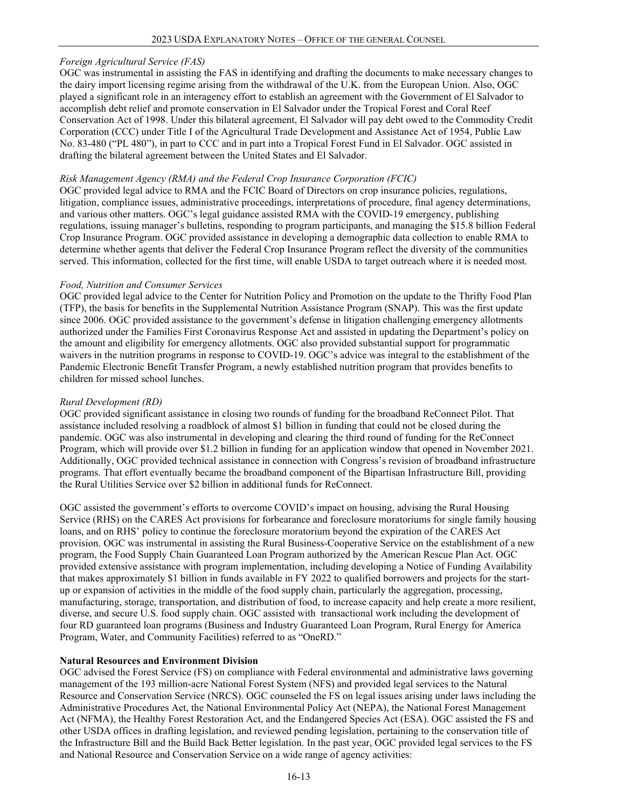## *Foreign Agricultural Service (FAS)*

OGC was instrumental in assisting the FAS in identifying and drafting the documents to make necessary changes to the dairy import licensing regime arising from the withdrawal of the U.K. from the European Union. Also, OGC played a significant role in an interagency effort to establish an agreement with the Government of El Salvador to accomplish debt relief and promote conservation in El Salvador under the Tropical Forest and Coral Reef Conservation Act of 1998. Under this bilateral agreement, El Salvador will pay debt owed to the Commodity Credit Corporation (CCC) under Title I of the Agricultural Trade Development and Assistance Act of 1954, Public Law No. 83-480 ("PL 480"), in part to CCC and in part into a Tropical Forest Fund in El Salvador. OGC assisted in drafting the bilateral agreement between the United States and El Salvador.

#### *Risk Management Agency (RMA) and the Federal Crop Insurance Corporation (FCIC)*

OGC provided legal advice to RMA and the FCIC Board of Directors on crop insurance policies, regulations, litigation, compliance issues, administrative proceedings, interpretations of procedure, final agency determinations, and various other matters. OGC's legal guidance assisted RMA with the COVID-19 emergency, publishing regulations, issuing manager's bulletins, responding to program participants, and managing the \$15.8 billion Federal Crop Insurance Program. OGC provided assistance in developing a demographic data collection to enable RMA to determine whether agents that deliver the Federal Crop Insurance Program reflect the diversity of the communities served. This information, collected for the first time, will enable USDA to target outreach where it is needed most.

#### *Food, Nutrition and Consumer Services*

OGC provided legal advice to the Center for Nutrition Policy and Promotion on the update to the Thrifty Food Plan (TFP), the basis for benefits in the Supplemental Nutrition Assistance Program (SNAP). This was the first update since 2006. OGC provided assistance to the government's defense in litigation challenging emergency allotments authorized under the Families First Coronavirus Response Act and assisted in updating the Department's policy on the amount and eligibility for emergency allotments. OGC also provided substantial support for programmatic waivers in the nutrition programs in response to COVID-19. OGC's advice was integral to the establishment of the Pandemic Electronic Benefit Transfer Program, a newly established nutrition program that provides benefits to children for missed school lunches.

#### *Rural Development (RD)*

OGC provided significant assistance in closing two rounds of funding for the broadband ReConnect Pilot. That assistance included resolving a roadblock of almost \$1 billion in funding that could not be closed during the pandemic. OGC was also instrumental in developing and clearing the third round of funding for the ReConnect Program, which will provide over \$1.2 billion in funding for an application window that opened in November 2021. Additionally, OGC provided technical assistance in connection with Congress's revision of broadband infrastructure programs. That effort eventually became the broadband component of the Bipartisan Infrastructure Bill, providing the Rural Utilities Service over \$2 billion in additional funds for ReConnect.

OGC assisted the government's efforts to overcome COVID's impact on housing, advising the Rural Housing Service (RHS) on the CARES Act provisions for forbearance and foreclosure moratoriums for single family housing loans, and on RHS' policy to continue the foreclosure moratorium beyond the expiration of the CARES Act provision. OGC was instrumental in assisting the Rural Business-Cooperative Service on the establishment of a new program, the Food Supply Chain Guaranteed Loan Program authorized by the American Rescue Plan Act. OGC provided extensive assistance with program implementation, including developing a Notice of Funding Availability that makes approximately \$1 billion in funds available in FY 2022 to qualified borrowers and projects for the startup or expansion of activities in the middle of the food supply chain, particularly the aggregation, processing, manufacturing, storage, transportation, and distribution of food, to increase capacity and help create a more resilient, diverse, and secure U.S. food supply chain. OGC assisted with transactional work including the development of four RD guaranteed loan programs (Business and Industry Guaranteed Loan Program, Rural Energy for America Program, Water, and Community Facilities) referred to as "OneRD."

#### **Natural Resources and Environment Division**

OGC advised the Forest Service (FS) on compliance with Federal environmental and administrative laws governing management of the 193 million-acre National Forest System (NFS) and provided legal services to the Natural Resource and Conservation Service (NRCS). OGC counseled the FS on legal issues arising under laws including the Administrative Procedures Act, the National Environmental Policy Act (NEPA), the National Forest Management Act (NFMA), the Healthy Forest Restoration Act, and the Endangered Species Act (ESA). OGC assisted the FS and other USDA offices in drafting legislation, and reviewed pending legislation, pertaining to the conservation title of the Infrastructure Bill and the Build Back Better legislation. In the past year, OGC provided legal services to the FS and National Resource and Conservation Service on a wide range of agency activities: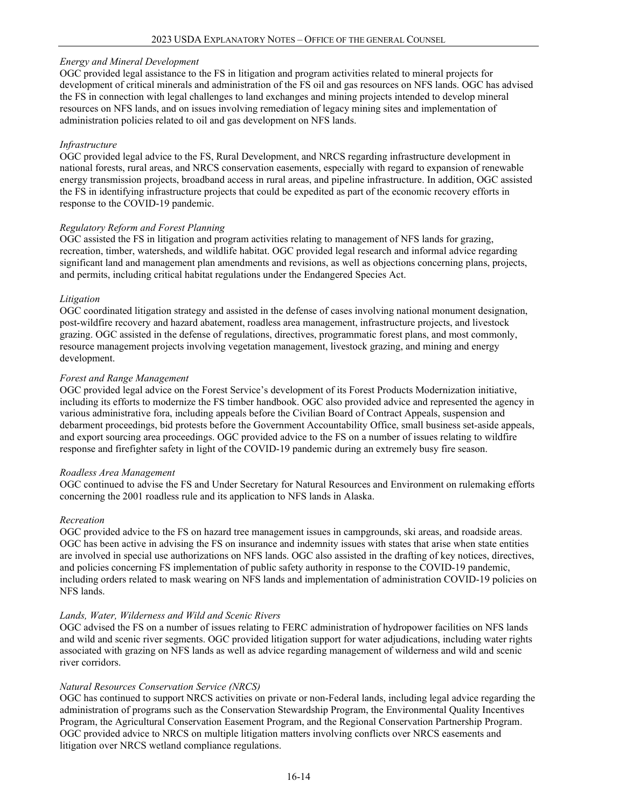#### *Energy and Mineral Development*

OGC provided legal assistance to the FS in litigation and program activities related to mineral projects for development of critical minerals and administration of the FS oil and gas resources on NFS lands. OGC has advised the FS in connection with legal challenges to land exchanges and mining projects intended to develop mineral resources on NFS lands, and on issues involving remediation of legacy mining sites and implementation of administration policies related to oil and gas development on NFS lands.

#### *Infrastructure*

OGC provided legal advice to the FS, Rural Development, and NRCS regarding infrastructure development in national forests, rural areas, and NRCS conservation easements, especially with regard to expansion of renewable energy transmission projects, broadband access in rural areas, and pipeline infrastructure. In addition, OGC assisted the FS in identifying infrastructure projects that could be expedited as part of the economic recovery efforts in response to the COVID-19 pandemic.

#### *Regulatory Reform and Forest Planning*

OGC assisted the FS in litigation and program activities relating to management of NFS lands for grazing, recreation, timber, watersheds, and wildlife habitat. OGC provided legal research and informal advice regarding significant land and management plan amendments and revisions, as well as objections concerning plans, projects, and permits, including critical habitat regulations under the Endangered Species Act.

#### *Litigation*

OGC coordinated litigation strategy and assisted in the defense of cases involving national monument designation, post-wildfire recovery and hazard abatement, roadless area management, infrastructure projects, and livestock grazing. OGC assisted in the defense of regulations, directives, programmatic forest plans, and most commonly, resource management projects involving vegetation management, livestock grazing, and mining and energy development.

#### *Forest and Range Management*

OGC provided legal advice on the Forest Service's development of its Forest Products Modernization initiative, including its efforts to modernize the FS timber handbook. OGC also provided advice and represented the agency in various administrative fora, including appeals before the Civilian Board of Contract Appeals, suspension and debarment proceedings, bid protests before the Government Accountability Office, small business set-aside appeals, and export sourcing area proceedings. OGC provided advice to the FS on a number of issues relating to wildfire response and firefighter safety in light of the COVID-19 pandemic during an extremely busy fire season.

#### *Roadless Area Management*

OGC continued to advise the FS and Under Secretary for Natural Resources and Environment on rulemaking efforts concerning the 2001 roadless rule and its application to NFS lands in Alaska.

#### *Recreation*

OGC provided advice to the FS on hazard tree management issues in campgrounds, ski areas, and roadside areas. OGC has been active in advising the FS on insurance and indemnity issues with states that arise when state entities are involved in special use authorizations on NFS lands. OGC also assisted in the drafting of key notices, directives, and policies concerning FS implementation of public safety authority in response to the COVID-19 pandemic, including orders related to mask wearing on NFS lands and implementation of administration COVID-19 policies on NFS lands.

#### *Lands, Water, Wilderness and Wild and Scenic Rivers*

OGC advised the FS on a number of issues relating to FERC administration of hydropower facilities on NFS lands and wild and scenic river segments. OGC provided litigation support for water adjudications, including water rights associated with grazing on NFS lands as well as advice regarding management of wilderness and wild and scenic river corridors.

## *Natural Resources Conservation Service (NRCS)*

OGC has continued to support NRCS activities on private or non-Federal lands, including legal advice regarding the administration of programs such as the Conservation Stewardship Program, the Environmental Quality Incentives Program, the Agricultural Conservation Easement Program, and the Regional Conservation Partnership Program. OGC provided advice to NRCS on multiple litigation matters involving conflicts over NRCS easements and litigation over NRCS wetland compliance regulations.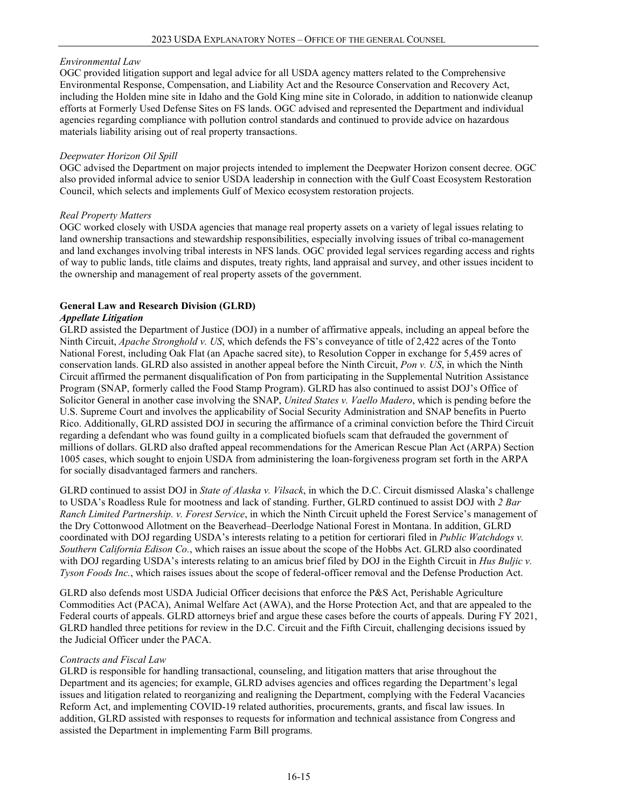## *Environmental Law*

OGC provided litigation support and legal advice for all USDA agency matters related to the Comprehensive Environmental Response, Compensation, and Liability Act and the Resource Conservation and Recovery Act, including the Holden mine site in Idaho and the Gold King mine site in Colorado, in addition to nationwide cleanup efforts at Formerly Used Defense Sites on FS lands. OGC advised and represented the Department and individual agencies regarding compliance with pollution control standards and continued to provide advice on hazardous materials liability arising out of real property transactions.

#### *Deepwater Horizon Oil Spill*

OGC advised the Department on major projects intended to implement the Deepwater Horizon consent decree. OGC also provided informal advice to senior USDA leadership in connection with the Gulf Coast Ecosystem Restoration Council, which selects and implements Gulf of Mexico ecosystem restoration projects.

## *Real Property Matters*

OGC worked closely with USDA agencies that manage real property assets on a variety of legal issues relating to land ownership transactions and stewardship responsibilities, especially involving issues of tribal co-management and land exchanges involving tribal interests in NFS lands. OGC provided legal services regarding access and rights of way to public lands, title claims and disputes, treaty rights, land appraisal and survey, and other issues incident to the ownership and management of real property assets of the government.

# **General Law and Research Division (GLRD)**

#### *Appellate Litigation*

GLRD assisted the Department of Justice (DOJ) in a number of affirmative appeals, including an appeal before the Ninth Circuit, *Apache Stronghold v. US*, which defends the FS's conveyance of title of 2,422 acres of the Tonto National Forest, including Oak Flat (an Apache sacred site), to Resolution Copper in exchange for 5,459 acres of conservation lands. GLRD also assisted in another appeal before the Ninth Circuit, *Pon v. US*, in which the Ninth Circuit affirmed the permanent disqualification of Pon from participating in the Supplemental Nutrition Assistance Program (SNAP, formerly called the Food Stamp Program). GLRD has also continued to assist DOJ's Office of Solicitor General in another case involving the SNAP, *United States v. Vaello Madero*, which is pending before the U.S. Supreme Court and involves the applicability of Social Security Administration and SNAP benefits in Puerto Rico. Additionally, GLRD assisted DOJ in securing the affirmance of a criminal conviction before the Third Circuit regarding a defendant who was found guilty in a complicated biofuels scam that defrauded the government of millions of dollars. GLRD also drafted appeal recommendations for the American Rescue Plan Act (ARPA) Section 1005 cases, which sought to enjoin USDA from administering the loan-forgiveness program set forth in the ARPA for socially disadvantaged farmers and ranchers.

GLRD continued to assist DOJ in *State of Alaska v. Vilsack*, in which the D.C. Circuit dismissed Alaska's challenge to USDA's Roadless Rule for mootness and lack of standing. Further, GLRD continued to assist DOJ with *2 Bar Ranch Limited Partnership. v. Forest Service*, in which the Ninth Circuit upheld the Forest Service's management of the Dry Cottonwood Allotment on the Beaverhead–Deerlodge National Forest in Montana. In addition, GLRD coordinated with DOJ regarding USDA's interests relating to a petition for certiorari filed in *Public Watchdogs v. Southern California Edison Co.*, which raises an issue about the scope of the Hobbs Act. GLRD also coordinated with DOJ regarding USDA's interests relating to an amicus brief filed by DOJ in the Eighth Circuit in *Hus Buljic v. Tyson Foods Inc.*, which raises issues about the scope of federal-officer removal and the Defense Production Act.

GLRD also defends most USDA Judicial Officer decisions that enforce the P&S Act, Perishable Agriculture Commodities Act (PACA), Animal Welfare Act (AWA), and the Horse Protection Act, and that are appealed to the Federal courts of appeals. GLRD attorneys brief and argue these cases before the courts of appeals. During FY 2021, GLRD handled three petitions for review in the D.C. Circuit and the Fifth Circuit, challenging decisions issued by the Judicial Officer under the PACA.

## *Contracts and Fiscal Law*

GLRD is responsible for handling transactional, counseling, and litigation matters that arise throughout the Department and its agencies; for example, GLRD advises agencies and offices regarding the Department's legal issues and litigation related to reorganizing and realigning the Department, complying with the Federal Vacancies Reform Act, and implementing COVID-19 related authorities, procurements, grants, and fiscal law issues. In addition, GLRD assisted with responses to requests for information and technical assistance from Congress and assisted the Department in implementing Farm Bill programs.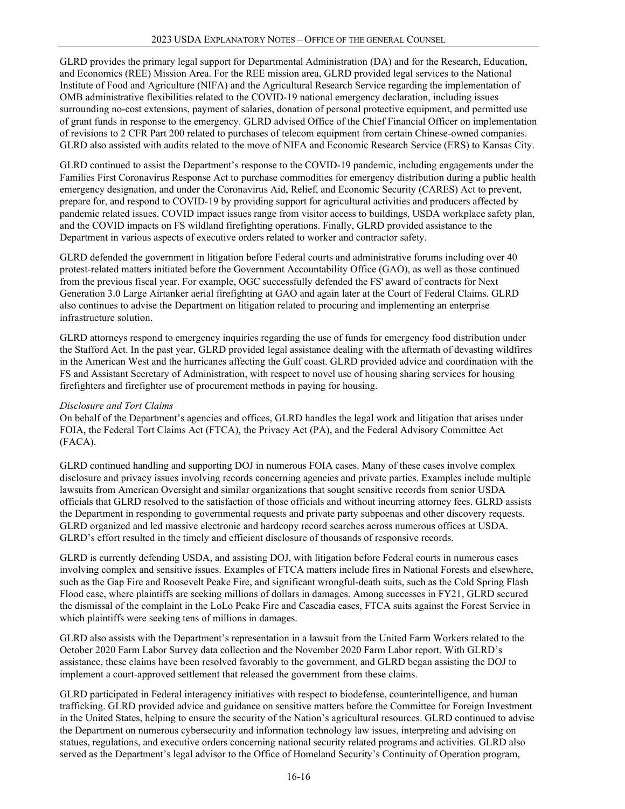GLRD provides the primary legal support for Departmental Administration (DA) and for the Research, Education, and Economics (REE) Mission Area. For the REE mission area, GLRD provided legal services to the National Institute of Food and Agriculture (NIFA) and the Agricultural Research Service regarding the implementation of OMB administrative flexibilities related to the COVID-19 national emergency declaration, including issues surrounding no-cost extensions, payment of salaries, donation of personal protective equipment, and permitted use of grant funds in response to the emergency. GLRD advised Office of the Chief Financial Officer on implementation of revisions to 2 CFR Part 200 related to purchases of telecom equipment from certain Chinese-owned companies. GLRD also assisted with audits related to the move of NIFA and Economic Research Service (ERS) to Kansas City.

GLRD continued to assist the Department's response to the COVID-19 pandemic, including engagements under the Families First Coronavirus Response Act to purchase commodities for emergency distribution during a public health emergency designation, and under the Coronavirus Aid, Relief, and Economic Security (CARES) Act to prevent, prepare for, and respond to COVID-19 by providing support for agricultural activities and producers affected by pandemic related issues. COVID impact issues range from visitor access to buildings, USDA workplace safety plan, and the COVID impacts on FS wildland firefighting operations. Finally, GLRD provided assistance to the Department in various aspects of executive orders related to worker and contractor safety.

GLRD defended the government in litigation before Federal courts and administrative forums including over 40 protest-related matters initiated before the Government Accountability Office (GAO), as well as those continued from the previous fiscal year. For example, OGC successfully defended the FS' award of contracts for Next Generation 3.0 Large Airtanker aerial firefighting at GAO and again later at the Court of Federal Claims. GLRD also continues to advise the Department on litigation related to procuring and implementing an enterprise infrastructure solution.

GLRD attorneys respond to emergency inquiries regarding the use of funds for emergency food distribution under the Stafford Act. In the past year, GLRD provided legal assistance dealing with the aftermath of devasting wildfires in the American West and the hurricanes affecting the Gulf coast. GLRD provided advice and coordination with the FS and Assistant Secretary of Administration, with respect to novel use of housing sharing services for housing firefighters and firefighter use of procurement methods in paying for housing.

# *Disclosure and Tort Claims*

On behalf of the Department's agencies and offices, GLRD handles the legal work and litigation that arises under FOIA, the Federal Tort Claims Act (FTCA), the Privacy Act (PA), and the Federal Advisory Committee Act (FACA).

GLRD continued handling and supporting DOJ in numerous FOIA cases. Many of these cases involve complex disclosure and privacy issues involving records concerning agencies and private parties. Examples include multiple lawsuits from American Oversight and similar organizations that sought sensitive records from senior USDA officials that GLRD resolved to the satisfaction of those officials and without incurring attorney fees. GLRD assists the Department in responding to governmental requests and private party subpoenas and other discovery requests. GLRD organized and led massive electronic and hardcopy record searches across numerous offices at USDA. GLRD's effort resulted in the timely and efficient disclosure of thousands of responsive records.

GLRD is currently defending USDA, and assisting DOJ, with litigation before Federal courts in numerous cases involving complex and sensitive issues. Examples of FTCA matters include fires in National Forests and elsewhere, such as the Gap Fire and Roosevelt Peake Fire, and significant wrongful-death suits, such as the Cold Spring Flash Flood case, where plaintiffs are seeking millions of dollars in damages. Among successes in FY21, GLRD secured the dismissal of the complaint in the LoLo Peake Fire and Cascadia cases, FTCA suits against the Forest Service in which plaintiffs were seeking tens of millions in damages.

GLRD also assists with the Department's representation in a lawsuit from the United Farm Workers related to the October 2020 Farm Labor Survey data collection and the November 2020 Farm Labor report. With GLRD's assistance, these claims have been resolved favorably to the government, and GLRD began assisting the DOJ to implement a court-approved settlement that released the government from these claims.

GLRD participated in Federal interagency initiatives with respect to biodefense, counterintelligence, and human trafficking. GLRD provided advice and guidance on sensitive matters before the Committee for Foreign Investment in the United States, helping to ensure the security of the Nation's agricultural resources. GLRD continued to advise the Department on numerous cybersecurity and information technology law issues, interpreting and advising on statues, regulations, and executive orders concerning national security related programs and activities. GLRD also served as the Department's legal advisor to the Office of Homeland Security's Continuity of Operation program,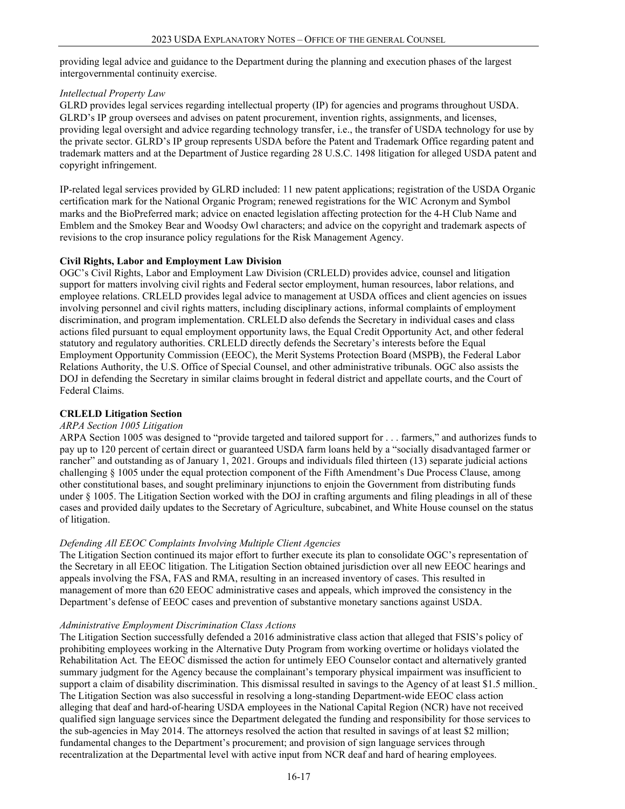providing legal advice and guidance to the Department during the planning and execution phases of the largest intergovernmental continuity exercise.

#### *Intellectual Property Law*

GLRD provides legal services regarding intellectual property (IP) for agencies and programs throughout USDA. GLRD's IP group oversees and advises on patent procurement, invention rights, assignments, and licenses, providing legal oversight and advice regarding technology transfer, i.e., the transfer of USDA technology for use by the private sector. GLRD's IP group represents USDA before the Patent and Trademark Office regarding patent and trademark matters and at the Department of Justice regarding 28 U.S.C. 1498 litigation for alleged USDA patent and copyright infringement.

IP-related legal services provided by GLRD included: 11 new patent applications; registration of the USDA Organic certification mark for the National Organic Program; renewed registrations for the WIC Acronym and Symbol marks and the BioPreferred mark; advice on enacted legislation affecting protection for the 4-H Club Name and Emblem and the Smokey Bear and Woodsy Owl characters; and advice on the copyright and trademark aspects of revisions to the crop insurance policy regulations for the Risk Management Agency.

## **Civil Rights, Labor and Employment Law Division**

OGC's Civil Rights, Labor and Employment Law Division (CRLELD) provides advice, counsel and litigation support for matters involving civil rights and Federal sector employment, human resources, labor relations, and employee relations. CRLELD provides legal advice to management at USDA offices and client agencies on issues involving personnel and civil rights matters, including disciplinary actions, informal complaints of employment discrimination, and program implementation. CRLELD also defends the Secretary in individual cases and class actions filed pursuant to equal employment opportunity laws, the Equal Credit Opportunity Act, and other federal statutory and regulatory authorities. CRLELD directly defends the Secretary's interests before the Equal Employment Opportunity Commission (EEOC), the Merit Systems Protection Board (MSPB), the Federal Labor Relations Authority, the U.S. Office of Special Counsel, and other administrative tribunals. OGC also assists the DOJ in defending the Secretary in similar claims brought in federal district and appellate courts, and the Court of Federal Claims.

## **CRLELD Litigation Section**

## *ARPA Section 1005 Litigation*

ARPA Section 1005 was designed to "provide targeted and tailored support for . . . farmers," and authorizes funds to pay up to 120 percent of certain direct or guaranteed USDA farm loans held by a "socially disadvantaged farmer or rancher" and outstanding as of January 1, 2021. Groups and individuals filed thirteen (13) separate judicial actions challenging § 1005 under the equal protection component of the Fifth Amendment's Due Process Clause, among other constitutional bases, and sought preliminary injunctions to enjoin the Government from distributing funds under § 1005. The Litigation Section worked with the DOJ in crafting arguments and filing pleadings in all of these cases and provided daily updates to the Secretary of Agriculture, subcabinet, and White House counsel on the status of litigation.

## *Defending All EEOC Complaints Involving Multiple Client Agencies*

The Litigation Section continued its major effort to further execute its plan to consolidate OGC's representation of the Secretary in all EEOC litigation. The Litigation Section obtained jurisdiction over all new EEOC hearings and appeals involving the FSA, FAS and RMA, resulting in an increased inventory of cases. This resulted in management of more than 620 EEOC administrative cases and appeals, which improved the consistency in the Department's defense of EEOC cases and prevention of substantive monetary sanctions against USDA.

## *Administrative Employment Discrimination Class Actions*

The Litigation Section successfully defended a 2016 administrative class action that alleged that FSIS's policy of prohibiting employees working in the Alternative Duty Program from working overtime or holidays violated the Rehabilitation Act. The EEOC dismissed the action for untimely EEO Counselor contact and alternatively granted summary judgment for the Agency because the complainant's temporary physical impairment was insufficient to support a claim of disability discrimination. This dismissal resulted in savings to the Agency of at least \$1.5 million. The Litigation Section was also successful in resolving a long-standing Department-wide EEOC class action alleging that deaf and hard-of-hearing USDA employees in the National Capital Region (NCR) have not received qualified sign language services since the Department delegated the funding and responsibility for those services to the sub-agencies in May 2014. The attorneys resolved the action that resulted in savings of at least \$2 million; fundamental changes to the Department's procurement; and provision of sign language services through recentralization at the Departmental level with active input from NCR deaf and hard of hearing employees.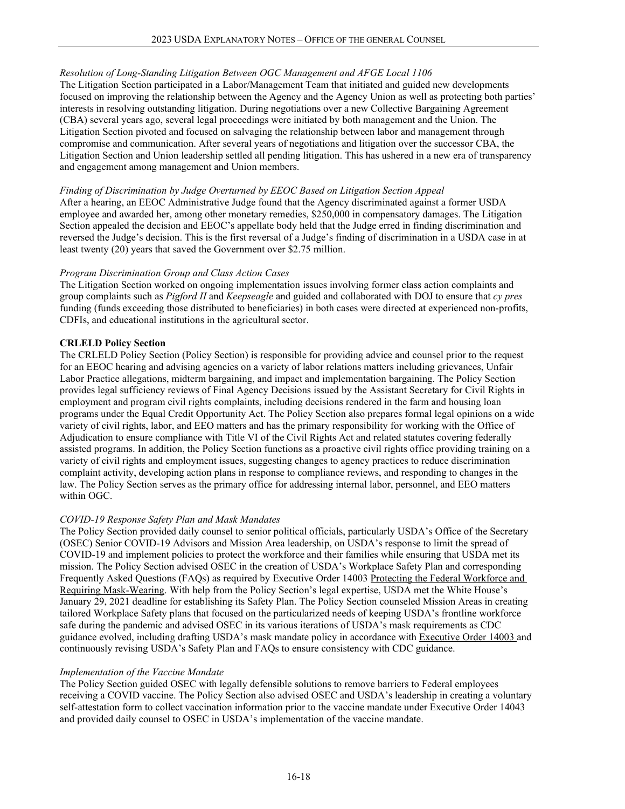# *Resolution of Long-Standing Litigation Between OGC Management and AFGE Local 1106*

The Litigation Section participated in a Labor/Management Team that initiated and guided new developments focused on improving the relationship between the Agency and the Agency Union as well as protecting both parties' interests in resolving outstanding litigation. During negotiations over a new Collective Bargaining Agreement (CBA) several years ago, several legal proceedings were initiated by both management and the Union. The Litigation Section pivoted and focused on salvaging the relationship between labor and management through compromise and communication. After several years of negotiations and litigation over the successor CBA, the Litigation Section and Union leadership settled all pending litigation. This has ushered in a new era of transparency and engagement among management and Union members.

#### *Finding of Discrimination by Judge Overturned by EEOC Based on Litigation Section Appeal*

After a hearing, an EEOC Administrative Judge found that the Agency discriminated against a former USDA employee and awarded her, among other monetary remedies, \$250,000 in compensatory damages. The Litigation Section appealed the decision and EEOC's appellate body held that the Judge erred in finding discrimination and reversed the Judge's decision. This is the first reversal of a Judge's finding of discrimination in a USDA case in at least twenty (20) years that saved the Government over \$2.75 million.

## *Program Discrimination Group and Class Action Cases*

The Litigation Section worked on ongoing implementation issues involving former class action complaints and group complaints such as *Pigford II* and *Keepseagle* and guided and collaborated with DOJ to ensure that *cy pres*  funding (funds exceeding those distributed to beneficiaries) in both cases were directed at experienced non-profits, CDFIs, and educational institutions in the agricultural sector.

## **CRLELD Policy Section**

The CRLELD Policy Section (Policy Section) is responsible for providing advice and counsel prior to the request for an EEOC hearing and advising agencies on a variety of labor relations matters including grievances, Unfair Labor Practice allegations, midterm bargaining, and impact and implementation bargaining. The Policy Section provides legal sufficiency reviews of Final Agency Decisions issued by the Assistant Secretary for Civil Rights in employment and program civil rights complaints, including decisions rendered in the farm and housing loan programs under the Equal Credit Opportunity Act. The Policy Section also prepares formal legal opinions on a wide variety of civil rights, labor, and EEO matters and has the primary responsibility for working with the Office of Adjudication to ensure compliance with Title VI of the Civil Rights Act and related statutes covering federally assisted programs. In addition, the Policy Section functions as a proactive civil rights office providing training on a variety of civil rights and employment issues, suggesting changes to agency practices to reduce discrimination complaint activity, developing action plans in response to compliance reviews, and responding to changes in the law. The Policy Section serves as the primary office for addressing internal labor, personnel, and EEO matters within OGC.

## *COVID-19 Response Safety Plan and Mask Mandates*

The Policy Section provided daily counsel to senior political officials, particularly USDA's Office of the Secretary (OSEC) Senior COVID-19 Advisors and Mission Area leadership, on USDA's response to limit the spread of COVID-19 and implement policies to protect the workforce and their families while ensuring that USDA met its mission. The Policy Section advised OSEC in the creation of USDA's Workplace Safety Plan and corresponding Frequently Asked Questions (FAQs) as required by Executive Order 14003 [Protecting the Federal Workforce and](https://www.whitehouse.gov/briefing-room/presidential-actions/2021/01/20/executive-order-protecting-the-federal-workforce-and-requiring-mask-wearing/)  [Requiring Mask-Wearing.](https://www.whitehouse.gov/briefing-room/presidential-actions/2021/01/20/executive-order-protecting-the-federal-workforce-and-requiring-mask-wearing/) With help from the Policy Section's legal expertise, USDA met the White House's January 29, 2021 deadline for establishing its Safety Plan. The Policy Section counseled Mission Areas in creating tailored Workplace Safety plans that focused on the particularized needs of keeping USDA's frontline workforce safe during the pandemic and advised OSEC in its various iterations of USDA's mask requirements as CDC guidance evolved, including drafting USDA's mask mandate policy in accordance wit[h Executive Order 14003](https://gcc02.safelinks.protection.outlook.com/?url=https%3A%2F%2Fwww.whitehouse.gov%2Fbriefing-room%2Fpresidential-actions%2F2021%2F01%2F20%2Fexecutive-order-protecting-the-federal-workforce-and-requiring-mask-wearing%2F&data=04%7C01%7C%7C8230ef71232a491f65c008d8c7ca2f9e%7Ced5b36e701ee4ebc867ee03cfa0d4697%7C0%7C0%7C637479018485427888%7CUnknown%7CTWFpbGZsb3d8eyJWIjoiMC4wLjAwMDAiLCJQIjoiV2luMzIiLCJBTiI6Ik1haWwiLCJXVCI6Mn0%3D%7C1000&sdata=aU4FUMQpvFaYm2qmPsvY0X1JJ9bdOT7LvzGVXVoyrpE%3D&reserved=0) and continuously revising USDA's Safety Plan and FAQs to ensure consistency with CDC guidance.

#### *Implementation of the Vaccine Mandate*

The Policy Section guided OSEC with legally defensible solutions to remove barriers to Federal employees receiving a COVID vaccine. The Policy Section also advised OSEC and USDA's leadership in creating a voluntary self-attestation form to collect vaccination information prior to the vaccine mandate under Executive Order 14043 and provided daily counsel to OSEC in USDA's implementation of the vaccine mandate.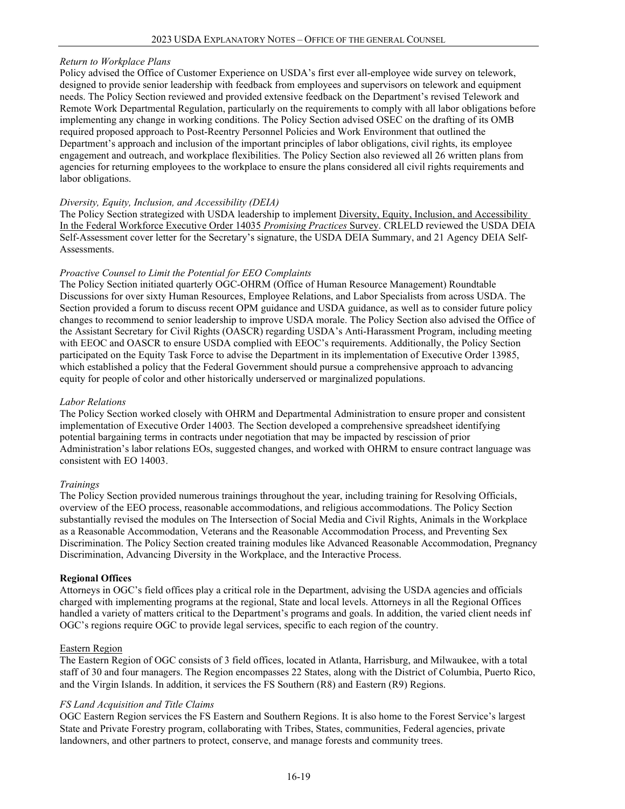## *Return to Workplace Plans*

Policy advised the Office of Customer Experience on USDA's first ever all-employee wide survey on telework, designed to provide senior leadership with feedback from employees and supervisors on telework and equipment needs. The Policy Section reviewed and provided extensive feedback on the Department's revised Telework and Remote Work Departmental Regulation, particularly on the requirements to comply with all labor obligations before implementing any change in working conditions. The Policy Section advised OSEC on the drafting of its OMB required proposed approach to Post-Reentry Personnel Policies and Work Environment that outlined the Department's approach and inclusion of the important principles of labor obligations, civil rights, its employee engagement and outreach, and workplace flexibilities. The Policy Section also reviewed all 26 written plans from agencies for returning employees to the workplace to ensure the plans considered all civil rights requirements and labor obligations.

## *Diversity, Equity, Inclusion, and Accessibility (DEIA)*

The Policy Section strategized with USDA leadership to implement Diversity, Equity, Inclusion, and Accessibility [In the Federal Workforce Executive Order 14035](https://gcc02.safelinks.protection.outlook.com/?url=https%3A%2F%2Fforms.office.com%2Fg%2FsLyiizzibY&data=04%7C01%7C%7C477cd5a00b654a14c1e708d96647410c%7Ced5b36e701ee4ebc867ee03cfa0d4697%7C0%7C0%7C637653278482081711%7CUnknown%7CTWFpbGZsb3d8eyJWIjoiMC4wLjAwMDAiLCJQIjoiV2luMzIiLCJBTiI6Ik1haWwiLCJXVCI6Mn0%3D%7C1000&sdata=ymtrwwSmb%2ByHYRJ0iobWSHwhNchze8NP4gR%2BT6%2FaRj8%3D&reserved=0) *Promising Practices* Survey. CRLELD reviewed the USDA DEIA Self-Assessment cover letter for the Secretary's signature, the USDA DEIA Summary, and 21 Agency DEIA Self-Assessments.

# *Proactive Counsel to Limit the Potential for EEO Complaints*

The Policy Section initiated quarterly OGC-OHRM (Office of Human Resource Management) Roundtable Discussions for over sixty Human Resources, Employee Relations, and Labor Specialists from across USDA. The Section provided a forum to discuss recent OPM guidance and USDA guidance, as well as to consider future policy changes to recommend to senior leadership to improve USDA morale. The Policy Section also advised the Office of the Assistant Secretary for Civil Rights (OASCR) regarding USDA's Anti-Harassment Program, including meeting with EEOC and OASCR to ensure USDA complied with EEOC's requirements. Additionally, the Policy Section participated on the Equity Task Force to advise the Department in its implementation of Executive Order 13985, which established a policy that the Federal Government should pursue a comprehensive approach to advancing equity for people of color and other historically underserved or marginalized populations.

# *Labor Relations*

The Policy Section worked closely with OHRM and Departmental Administration to ensure proper and consistent implementation of Executive Order 14003*.* The Section developed a comprehensive spreadsheet identifying potential bargaining terms in contracts under negotiation that may be impacted by rescission of prior Administration's labor relations EOs, suggested changes, and worked with OHRM to ensure contract language was consistent with EO 14003.

## *Trainings*

The Policy Section provided numerous trainings throughout the year, including training for Resolving Officials, overview of the EEO process, reasonable accommodations, and religious accommodations. The Policy Section substantially revised the modules on The Intersection of Social Media and Civil Rights, Animals in the Workplace as a Reasonable Accommodation, Veterans and the Reasonable Accommodation Process, and Preventing Sex Discrimination. The Policy Section created training modules like Advanced Reasonable Accommodation, Pregnancy Discrimination, Advancing Diversity in the Workplace, and the Interactive Process.

## **Regional Offices**

Attorneys in OGC's field offices play a critical role in the Department, advising the USDA agencies and officials charged with implementing programs at the regional, State and local levels. Attorneys in all the Regional Offices handled a variety of matters critical to the Department's programs and goals. In addition, the varied client needs inf OGC's regions require OGC to provide legal services, specific to each region of the country.

## Eastern Region

The Eastern Region of OGC consists of 3 field offices, located in Atlanta, Harrisburg, and Milwaukee, with a total staff of 30 and four managers. The Region encompasses 22 States, along with the District of Columbia, Puerto Rico, and the Virgin Islands. In addition, it services the FS Southern (R8) and Eastern (R9) Regions.

## *FS Land Acquisition and Title Claims*

OGC Eastern Region services the FS Eastern and Southern Regions. It is also home to the Forest Service's largest State and Private Forestry program, collaborating with Tribes, States, communities, Federal agencies, private landowners, and other partners to protect, conserve, and manage forests and community trees.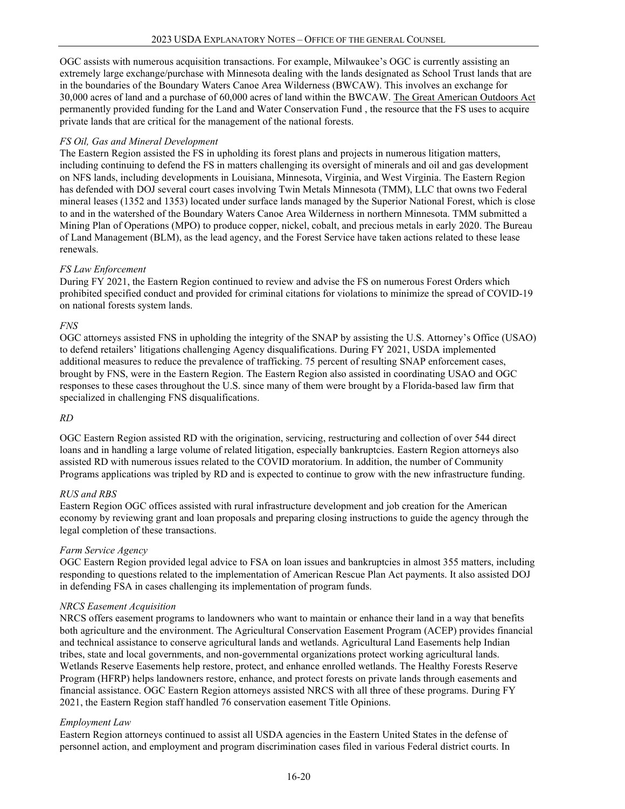OGC assists with numerous acquisition transactions. For example, Milwaukee's OGC is currently assisting an extremely large exchange/purchase with Minnesota dealing with the lands designated as School Trust lands that are in the boundaries of the Boundary Waters Canoe Area Wilderness (BWCAW). This involves an exchange for 30,000 acres of land and a purchase of 60,000 acres of land within the BWCAW. The Great American Outdoors Act permanently provided funding for the Land and Water Conservation Fund , the resource that the FS uses to acquire private lands that are critical for the management of the national forests.

# *FS Oil, Gas and Mineral Development*

The Eastern Region assisted the FS in upholding its forest plans and projects in numerous litigation matters, including continuing to defend the FS in matters challenging its oversight of minerals and oil and gas development on NFS lands, including developments in Louisiana, Minnesota, Virginia, and West Virginia. The Eastern Region has defended with DOJ several court cases involving Twin Metals Minnesota (TMM), LLC that owns two Federal mineral leases (1352 and 1353) located under surface lands managed by the Superior National Forest, which is close to and in the watershed of the Boundary Waters Canoe Area Wilderness in northern Minnesota. TMM submitted a Mining Plan of Operations (MPO) to produce copper, nickel, cobalt, and precious metals in early 2020. The Bureau of Land Management (BLM), as the lead agency, and the Forest Service have taken actions related to these lease renewals.

# *FS Law Enforcement*

During FY 2021, the Eastern Region continued to review and advise the FS on numerous Forest Orders which prohibited specified conduct and provided for criminal citations for violations to minimize the spread of COVID-19 on national forests system lands.

# *FNS*

OGC attorneys assisted FNS in upholding the integrity of the SNAP by assisting the U.S. Attorney's Office (USAO) to defend retailers' litigations challenging Agency disqualifications. During FY 2021, USDA implemented additional measures to reduce the prevalence of trafficking. 75 percent of resulting SNAP enforcement cases, brought by FNS, were in the Eastern Region. The Eastern Region also assisted in coordinating USAO and OGC responses to these cases throughout the U.S. since many of them were brought by a Florida-based law firm that specialized in challenging FNS disqualifications.

## *RD*

OGC Eastern Region assisted RD with the origination, servicing, restructuring and collection of over 544 direct loans and in handling a large volume of related litigation, especially bankruptcies. Eastern Region attorneys also assisted RD with numerous issues related to the COVID moratorium. In addition, the number of Community Programs applications was tripled by RD and is expected to continue to grow with the new infrastructure funding.

## *RUS and RBS*

Eastern Region OGC offices assisted with rural infrastructure development and job creation for the American economy by reviewing grant and loan proposals and preparing closing instructions to guide the agency through the legal completion of these transactions.

## *Farm Service Agency*

OGC Eastern Region provided legal advice to FSA on loan issues and bankruptcies in almost 355 matters, including responding to questions related to the implementation of American Rescue Plan Act payments. It also assisted DOJ in defending FSA in cases challenging its implementation of program funds.

## *NRCS Easement Acquisition*

NRCS offers easement programs to landowners who want to maintain or enhance their land in a way that benefits both agriculture and the environment. The Agricultural Conservation Easement Program (ACEP) provides financial and technical assistance to conserve agricultural lands and wetlands. Agricultural Land Easements help Indian tribes, state and local governments, and non-governmental organizations protect working agricultural lands. Wetlands Reserve Easements help restore, protect, and enhance enrolled wetlands. The Healthy Forests Reserve Program (HFRP) helps landowners restore, enhance, and protect forests on private lands through easements and financial assistance. OGC Eastern Region attorneys assisted NRCS with all three of these programs. During FY 2021, the Eastern Region staff handled 76 conservation easement Title Opinions.

## *Employment Law*

Eastern Region attorneys continued to assist all USDA agencies in the Eastern United States in the defense of personnel action, and employment and program discrimination cases filed in various Federal district courts. In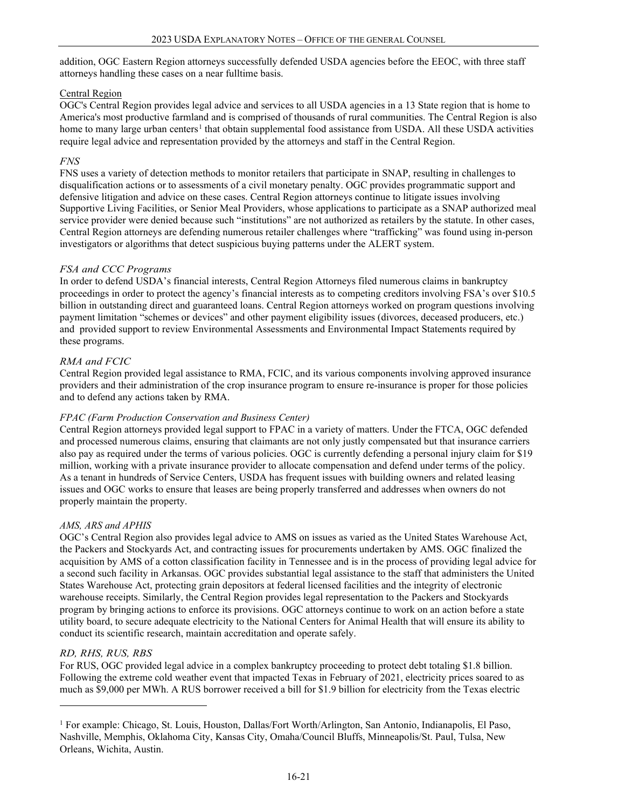addition, OGC Eastern Region attorneys successfully defended USDA agencies before the EEOC, with three staff attorneys handling these cases on a near fulltime basis.

# Central Region

OGC's Central Region provides legal advice and services to all USDA agencies in a 13 State region that is home to America's most productive farmland and is comprised of thousands of rural communities. The Central Region is also home to many large urban centers<sup>[1](#page-20-0)</sup> that obtain supplemental food assistance from USDA. All these USDA activities require legal advice and representation provided by the attorneys and staff in the Central Region.

## *FNS*

FNS uses a variety of detection methods to monitor retailers that participate in SNAP, resulting in challenges to disqualification actions or to assessments of a civil monetary penalty. OGC provides programmatic support and defensive litigation and advice on these cases. Central Region attorneys continue to litigate issues involving Supportive Living Facilities, or Senior Meal Providers, whose applications to participate as a SNAP authorized meal service provider were denied because such "institutions" are not authorized as retailers by the statute. In other cases, Central Region attorneys are defending numerous retailer challenges where "trafficking" was found using in-person investigators or algorithms that detect suspicious buying patterns under the ALERT system.

# *FSA and CCC Programs*

In order to defend USDA's financial interests, Central Region Attorneys filed numerous claims in bankruptcy proceedings in order to protect the agency's financial interests as to competing creditors involving FSA's over \$10.5 billion in outstanding direct and guaranteed loans. Central Region attorneys worked on program questions involving payment limitation "schemes or devices" and other payment eligibility issues (divorces, deceased producers, etc.) and provided support to review Environmental Assessments and Environmental Impact Statements required by these programs.

# *RMA and FCIC*

Central Region provided legal assistance to RMA, FCIC, and its various components involving approved insurance providers and their administration of the crop insurance program to ensure re-insurance is proper for those policies and to defend any actions taken by RMA.

# *FPAC (Farm Production Conservation and Business Center)*

Central Region attorneys provided legal support to FPAC in a variety of matters. Under the FTCA, OGC defended and processed numerous claims, ensuring that claimants are not only justly compensated but that insurance carriers also pay as required under the terms of various policies. OGC is currently defending a personal injury claim for \$19 million, working with a private insurance provider to allocate compensation and defend under terms of the policy. As a tenant in hundreds of Service Centers, USDA has frequent issues with building owners and related leasing issues and OGC works to ensure that leases are being properly transferred and addresses when owners do not properly maintain the property.

# *AMS, ARS and APHIS*

OGC's Central Region also provides legal advice to AMS on issues as varied as the United States Warehouse Act, the Packers and Stockyards Act, and contracting issues for procurements undertaken by AMS. OGC finalized the acquisition by AMS of a cotton classification facility in Tennessee and is in the process of providing legal advice for a second such facility in Arkansas. OGC provides substantial legal assistance to the staff that administers the United States Warehouse Act, protecting grain depositors at federal licensed facilities and the integrity of electronic warehouse receipts. Similarly, the Central Region provides legal representation to the Packers and Stockyards program by bringing actions to enforce its provisions. OGC attorneys continue to work on an action before a state utility board, to secure adequate electricity to the National Centers for Animal Health that will ensure its ability to conduct its scientific research, maintain accreditation and operate safely.

# *RD, RHS, RUS, RBS*

For RUS, OGC provided legal advice in a complex bankruptcy proceeding to protect debt totaling \$1.8 billion. Following the extreme cold weather event that impacted Texas in February of 2021, electricity prices soared to as much as \$9,000 per MWh. A RUS borrower received a bill for \$1.9 billion for electricity from the Texas electric

<span id="page-20-0"></span><sup>&</sup>lt;sup>1</sup> For example: Chicago, St. Louis, Houston, Dallas/Fort Worth/Arlington, San Antonio, Indianapolis, El Paso, Nashville, Memphis, Oklahoma City, Kansas City, Omaha/Council Bluffs, Minneapolis/St. Paul, Tulsa, New Orleans, Wichita, Austin.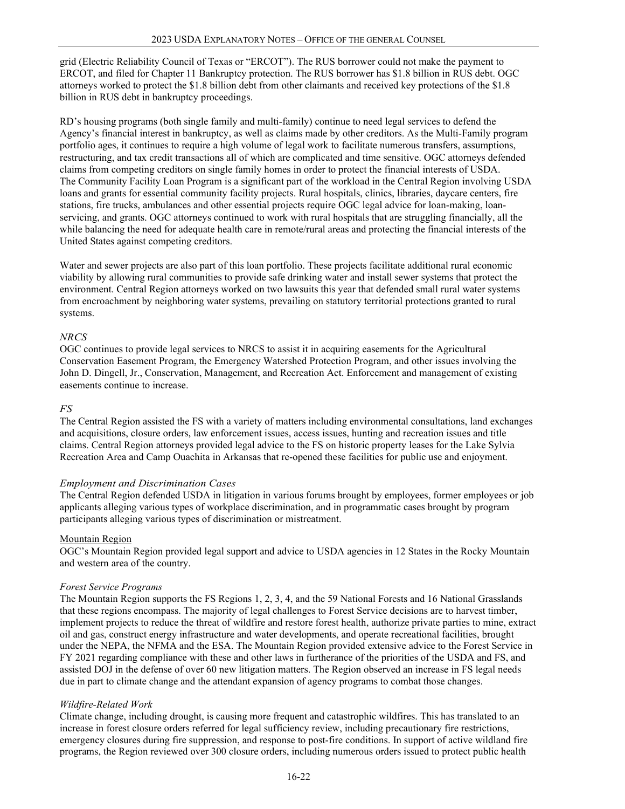grid (Electric Reliability Council of Texas or "ERCOT"). The RUS borrower could not make the payment to ERCOT, and filed for Chapter 11 Bankruptcy protection. The RUS borrower has \$1.8 billion in RUS debt. OGC attorneys worked to protect the \$1.8 billion debt from other claimants and received key protections of the \$1.8 billion in RUS debt in bankruptcy proceedings.

RD's housing programs (both single family and multi-family) continue to need legal services to defend the Agency's financial interest in bankruptcy, as well as claims made by other creditors. As the Multi-Family program portfolio ages, it continues to require a high volume of legal work to facilitate numerous transfers, assumptions, restructuring, and tax credit transactions all of which are complicated and time sensitive. OGC attorneys defended claims from competing creditors on single family homes in order to protect the financial interests of USDA. The Community Facility Loan Program is a significant part of the workload in the Central Region involving USDA loans and grants for essential community facility projects. Rural hospitals, clinics, libraries, daycare centers, fire stations, fire trucks, ambulances and other essential projects require OGC legal advice for loan-making, loanservicing, and grants. OGC attorneys continued to work with rural hospitals that are struggling financially, all the while balancing the need for adequate health care in remote/rural areas and protecting the financial interests of the United States against competing creditors.

Water and sewer projects are also part of this loan portfolio. These projects facilitate additional rural economic viability by allowing rural communities to provide safe drinking water and install sewer systems that protect the environment. Central Region attorneys worked on two lawsuits this year that defended small rural water systems from encroachment by neighboring water systems, prevailing on statutory territorial protections granted to rural systems.

## *NRCS*

OGC continues to provide legal services to NRCS to assist it in acquiring easements for the Agricultural Conservation Easement Program, the Emergency Watershed Protection Program, and other issues involving the John D. Dingell, Jr., Conservation, Management, and Recreation Act. Enforcement and management of existing easements continue to increase.

## *FS*

The Central Region assisted the FS with a variety of matters including environmental consultations, land exchanges and acquisitions, closure orders, law enforcement issues, access issues, hunting and recreation issues and title claims. Central Region attorneys provided legal advice to the FS on historic property leases for the Lake Sylvia Recreation Area and Camp Ouachita in Arkansas that re-opened these facilities for public use and enjoyment.

## *Employment and Discrimination Cases*

The Central Region defended USDA in litigation in various forums brought by employees, former employees or job applicants alleging various types of workplace discrimination, and in programmatic cases brought by program participants alleging various types of discrimination or mistreatment.

## Mountain Region

OGC's Mountain Region provided legal support and advice to USDA agencies in 12 States in the Rocky Mountain and western area of the country.

## *Forest Service Programs*

The Mountain Region supports the FS Regions 1, 2, 3, 4, and the 59 National Forests and 16 National Grasslands that these regions encompass. The majority of legal challenges to Forest Service decisions are to harvest timber, implement projects to reduce the threat of wildfire and restore forest health, authorize private parties to mine, extract oil and gas, construct energy infrastructure and water developments, and operate recreational facilities, brought under the NEPA, the NFMA and the ESA. The Mountain Region provided extensive advice to the Forest Service in FY 2021 regarding compliance with these and other laws in furtherance of the priorities of the USDA and FS, and assisted DOJ in the defense of over 60 new litigation matters. The Region observed an increase in FS legal needs due in part to climate change and the attendant expansion of agency programs to combat those changes.

## *Wildfire-Related Work*

Climate change, including drought, is causing more frequent and catastrophic wildfires. This has translated to an increase in forest closure orders referred for legal sufficiency review, including precautionary fire restrictions, emergency closures during fire suppression, and response to post-fire conditions. In support of active wildland fire programs, the Region reviewed over 300 closure orders, including numerous orders issued to protect public health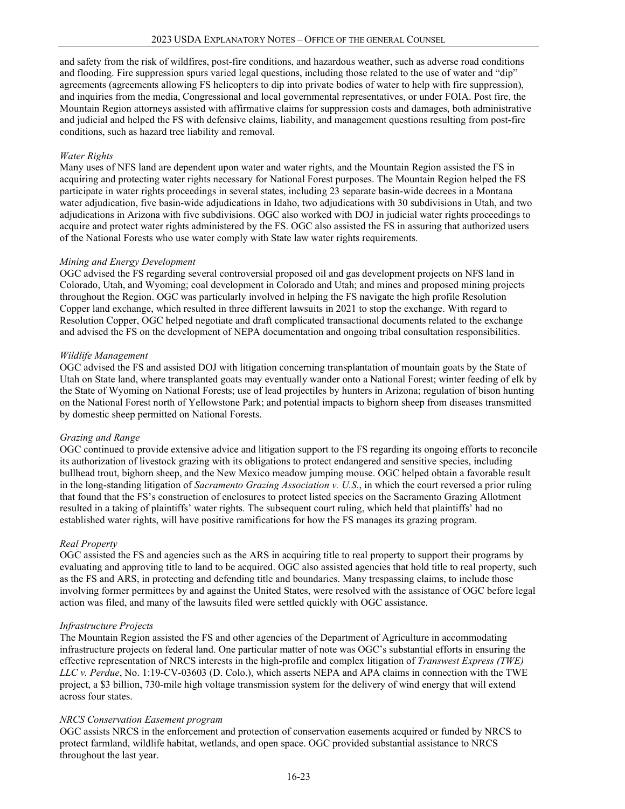and safety from the risk of wildfires, post-fire conditions, and hazardous weather, such as adverse road conditions and flooding. Fire suppression spurs varied legal questions, including those related to the use of water and "dip" agreements (agreements allowing FS helicopters to dip into private bodies of water to help with fire suppression), and inquiries from the media, Congressional and local governmental representatives, or under FOIA. Post fire, the Mountain Region attorneys assisted with affirmative claims for suppression costs and damages, both administrative and judicial and helped the FS with defensive claims, liability, and management questions resulting from post-fire conditions, such as hazard tree liability and removal.

#### *Water Rights*

Many uses of NFS land are dependent upon water and water rights, and the Mountain Region assisted the FS in acquiring and protecting water rights necessary for National Forest purposes. The Mountain Region helped the FS participate in water rights proceedings in several states, including 23 separate basin-wide decrees in a Montana water adjudication, five basin-wide adjudications in Idaho, two adjudications with 30 subdivisions in Utah, and two adjudications in Arizona with five subdivisions. OGC also worked with DOJ in judicial water rights proceedings to acquire and protect water rights administered by the FS. OGC also assisted the FS in assuring that authorized users of the National Forests who use water comply with State law water rights requirements.

#### *Mining and Energy Development*

OGC advised the FS regarding several controversial proposed oil and gas development projects on NFS land in Colorado, Utah, and Wyoming; coal development in Colorado and Utah; and mines and proposed mining projects throughout the Region. OGC was particularly involved in helping the FS navigate the high profile Resolution Copper land exchange, which resulted in three different lawsuits in 2021 to stop the exchange. With regard to Resolution Copper, OGC helped negotiate and draft complicated transactional documents related to the exchange and advised the FS on the development of NEPA documentation and ongoing tribal consultation responsibilities.

#### *Wildlife Management*

OGC advised the FS and assisted DOJ with litigation concerning transplantation of mountain goats by the State of Utah on State land, where transplanted goats may eventually wander onto a National Forest; winter feeding of elk by the State of Wyoming on National Forests; use of lead projectiles by hunters in Arizona; regulation of bison hunting on the National Forest north of Yellowstone Park; and potential impacts to bighorn sheep from diseases transmitted by domestic sheep permitted on National Forests.

## *Grazing and Range*

OGC continued to provide extensive advice and litigation support to the FS regarding its ongoing efforts to reconcile its authorization of livestock grazing with its obligations to protect endangered and sensitive species, including bullhead trout, bighorn sheep, and the New Mexico meadow jumping mouse. OGC helped obtain a favorable result in the long-standing litigation of *Sacramento Grazing Association v. U.S.*, in which the court reversed a prior ruling that found that the FS's construction of enclosures to protect listed species on the Sacramento Grazing Allotment resulted in a taking of plaintiffs' water rights. The subsequent court ruling, which held that plaintiffs' had no established water rights, will have positive ramifications for how the FS manages its grazing program.

## *Real Property*

OGC assisted the FS and agencies such as the ARS in acquiring title to real property to support their programs by evaluating and approving title to land to be acquired. OGC also assisted agencies that hold title to real property, such as the FS and ARS, in protecting and defending title and boundaries. Many trespassing claims, to include those involving former permittees by and against the United States, were resolved with the assistance of OGC before legal action was filed, and many of the lawsuits filed were settled quickly with OGC assistance.

## *Infrastructure Projects*

The Mountain Region assisted the FS and other agencies of the Department of Agriculture in accommodating infrastructure projects on federal land. One particular matter of note was OGC's substantial efforts in ensuring the effective representation of NRCS interests in the high-profile and complex litigation of *Transwest Express (TWE) LLC v. Perdue*, No. 1:19-CV-03603 (D. Colo.), which asserts NEPA and APA claims in connection with the TWE project, a \$3 billion, 730-mile high voltage transmission system for the delivery of wind energy that will extend across four states.

#### *NRCS Conservation Easement program*

OGC assists NRCS in the enforcement and protection of conservation easements acquired or funded by NRCS to protect farmland, wildlife habitat, wetlands, and open space. OGC provided substantial assistance to NRCS throughout the last year.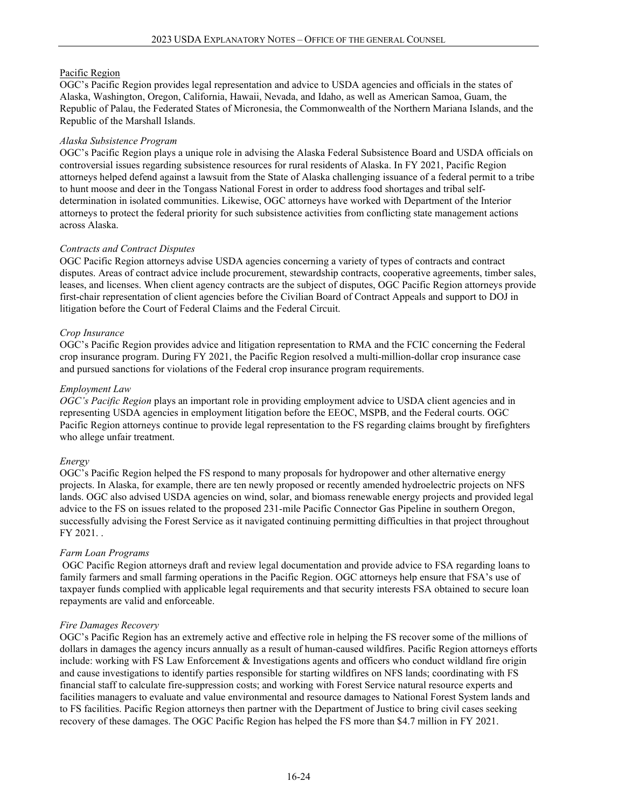# Pacific Region

OGC's Pacific Region provides legal representation and advice to USDA agencies and officials in the states of Alaska, Washington, Oregon, California, Hawaii, Nevada, and Idaho, as well as American Samoa, Guam, the Republic of Palau, the Federated States of Micronesia, the Commonwealth of the Northern Mariana Islands, and the Republic of the Marshall Islands.

# *Alaska Subsistence Program*

OGC's Pacific Region plays a unique role in advising the Alaska Federal Subsistence Board and USDA officials on controversial issues regarding subsistence resources for rural residents of Alaska. In FY 2021, Pacific Region attorneys helped defend against a lawsuit from the State of Alaska challenging issuance of a federal permit to a tribe to hunt moose and deer in the Tongass National Forest in order to address food shortages and tribal selfdetermination in isolated communities. Likewise, OGC attorneys have worked with Department of the Interior attorneys to protect the federal priority for such subsistence activities from conflicting state management actions across Alaska.

# *Contracts and Contract Disputes*

OGC Pacific Region attorneys advise USDA agencies concerning a variety of types of contracts and contract disputes. Areas of contract advice include procurement, stewardship contracts, cooperative agreements, timber sales, leases, and licenses. When client agency contracts are the subject of disputes, OGC Pacific Region attorneys provide first-chair representation of client agencies before the Civilian Board of Contract Appeals and support to DOJ in litigation before the Court of Federal Claims and the Federal Circuit.

# *Crop Insurance*

OGC's Pacific Region provides advice and litigation representation to RMA and the FCIC concerning the Federal crop insurance program. During FY 2021, the Pacific Region resolved a multi-million-dollar crop insurance case and pursued sanctions for violations of the Federal crop insurance program requirements.

# *Employment Law*

*OGC's Pacific Region* plays an important role in providing employment advice to USDA client agencies and in representing USDA agencies in employment litigation before the EEOC, MSPB, and the Federal courts. OGC Pacific Region attorneys continue to provide legal representation to the FS regarding claims brought by firefighters who allege unfair treatment.

## *Energy*

OGC's Pacific Region helped the FS respond to many proposals for hydropower and other alternative energy projects. In Alaska, for example, there are ten newly proposed or recently amended hydroelectric projects on NFS lands. OGC also advised USDA agencies on wind, solar, and biomass renewable energy projects and provided legal advice to the FS on issues related to the proposed 231-mile Pacific Connector Gas Pipeline in southern Oregon, successfully advising the Forest Service as it navigated continuing permitting difficulties in that project throughout FY 2021. .

# *Farm Loan Programs*

OGC Pacific Region attorneys draft and review legal documentation and provide advice to FSA regarding loans to family farmers and small farming operations in the Pacific Region. OGC attorneys help ensure that FSA's use of taxpayer funds complied with applicable legal requirements and that security interests FSA obtained to secure loan repayments are valid and enforceable.

# *Fire Damages Recovery*

OGC's Pacific Region has an extremely active and effective role in helping the FS recover some of the millions of dollars in damages the agency incurs annually as a result of human-caused wildfires. Pacific Region attorneys efforts include: working with FS Law Enforcement & Investigations agents and officers who conduct wildland fire origin and cause investigations to identify parties responsible for starting wildfires on NFS lands; coordinating with FS financial staff to calculate fire-suppression costs; and working with Forest Service natural resource experts and facilities managers to evaluate and value environmental and resource damages to National Forest System lands and to FS facilities. Pacific Region attorneys then partner with the Department of Justice to bring civil cases seeking recovery of these damages. The OGC Pacific Region has helped the FS more than \$4.7 million in FY 2021.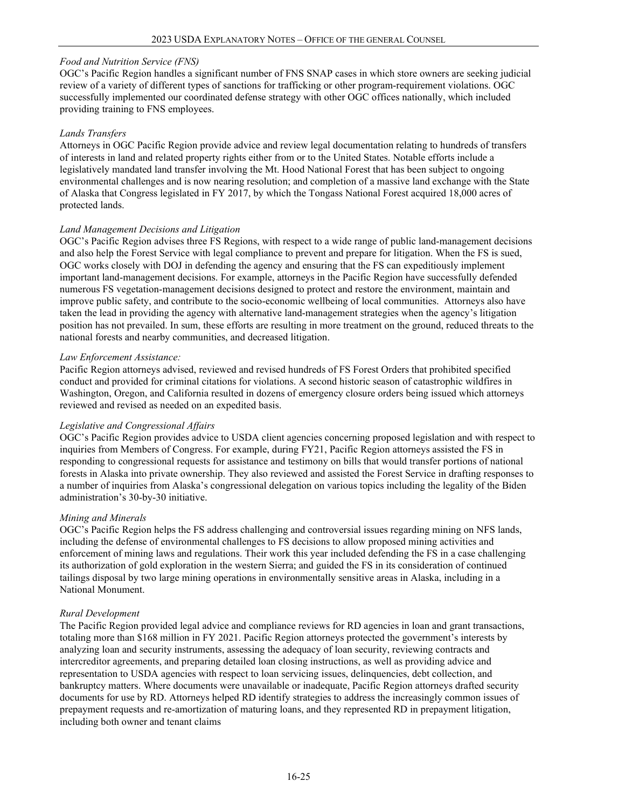## *Food and Nutrition Service (FNS)*

OGC's Pacific Region handles a significant number of FNS SNAP cases in which store owners are seeking judicial review of a variety of different types of sanctions for trafficking or other program-requirement violations. OGC successfully implemented our coordinated defense strategy with other OGC offices nationally, which included providing training to FNS employees.

#### *Lands Transfers*

Attorneys in OGC Pacific Region provide advice and review legal documentation relating to hundreds of transfers of interests in land and related property rights either from or to the United States. Notable efforts include a legislatively mandated land transfer involving the Mt. Hood National Forest that has been subject to ongoing environmental challenges and is now nearing resolution; and completion of a massive land exchange with the State of Alaska that Congress legislated in FY 2017, by which the Tongass National Forest acquired 18,000 acres of protected lands.

## *Land Management Decisions and Litigation*

OGC's Pacific Region advises three FS Regions, with respect to a wide range of public land-management decisions and also help the Forest Service with legal compliance to prevent and prepare for litigation. When the FS is sued, OGC works closely with DOJ in defending the agency and ensuring that the FS can expeditiously implement important land-management decisions. For example, attorneys in the Pacific Region have successfully defended numerous FS vegetation-management decisions designed to protect and restore the environment, maintain and improve public safety, and contribute to the socio-economic wellbeing of local communities. Attorneys also have taken the lead in providing the agency with alternative land-management strategies when the agency's litigation position has not prevailed. In sum, these efforts are resulting in more treatment on the ground, reduced threats to the national forests and nearby communities, and decreased litigation.

#### *Law Enforcement Assistance:*

Pacific Region attorneys advised, reviewed and revised hundreds of FS Forest Orders that prohibited specified conduct and provided for criminal citations for violations. A second historic season of catastrophic wildfires in Washington, Oregon, and California resulted in dozens of emergency closure orders being issued which attorneys reviewed and revised as needed on an expedited basis.

#### *Legislative and Congressional Affairs*

OGC's Pacific Region provides advice to USDA client agencies concerning proposed legislation and with respect to inquiries from Members of Congress. For example, during FY21, Pacific Region attorneys assisted the FS in responding to congressional requests for assistance and testimony on bills that would transfer portions of national forests in Alaska into private ownership. They also reviewed and assisted the Forest Service in drafting responses to a number of inquiries from Alaska's congressional delegation on various topics including the legality of the Biden administration's 30-by-30 initiative.

## *Mining and Minerals*

OGC's Pacific Region helps the FS address challenging and controversial issues regarding mining on NFS lands, including the defense of environmental challenges to FS decisions to allow proposed mining activities and enforcement of mining laws and regulations. Their work this year included defending the FS in a case challenging its authorization of gold exploration in the western Sierra; and guided the FS in its consideration of continued tailings disposal by two large mining operations in environmentally sensitive areas in Alaska, including in a National Monument.

## *Rural Development*

The Pacific Region provided legal advice and compliance reviews for RD agencies in loan and grant transactions, totaling more than \$168 million in FY 2021. Pacific Region attorneys protected the government's interests by analyzing loan and security instruments, assessing the adequacy of loan security, reviewing contracts and intercreditor agreements, and preparing detailed loan closing instructions, as well as providing advice and representation to USDA agencies with respect to loan servicing issues, delinquencies, debt collection, and bankruptcy matters. Where documents were unavailable or inadequate, Pacific Region attorneys drafted security documents for use by RD. Attorneys helped RD identify strategies to address the increasingly common issues of prepayment requests and re-amortization of maturing loans, and they represented RD in prepayment litigation, including both owner and tenant claims